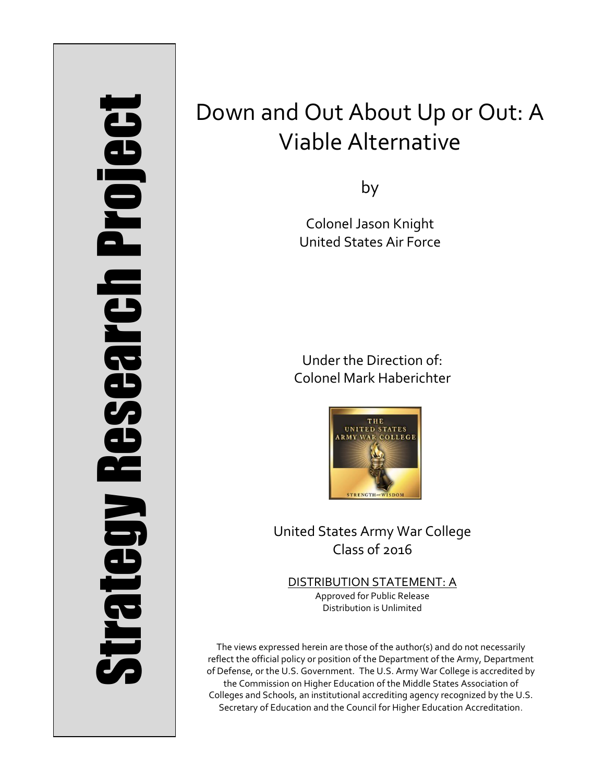# Strategy Research Project **Strategy Research Project**

# Down and Out About Up or Out: A Viable Alternative

by

Colonel Jason Knight United States Air Force

Under the Direction of: Colonel Mark Haberichter



United States Army War College Class of 2016

DISTRIBUTION STATEMENT: A Approved for Public Release Distribution is Unlimited

The views expressed herein are those of the author(s) and do not necessarily reflect the official policy or position of the Department of the Army, Department of Defense, or the U.S. Government. The U.S. Army War College is accredited by the Commission on Higher Education of the Middle States Association of Colleges and Schools, an institutional accrediting agency recognized by the U.S. Secretary of Education and the Council for Higher Education Accreditation.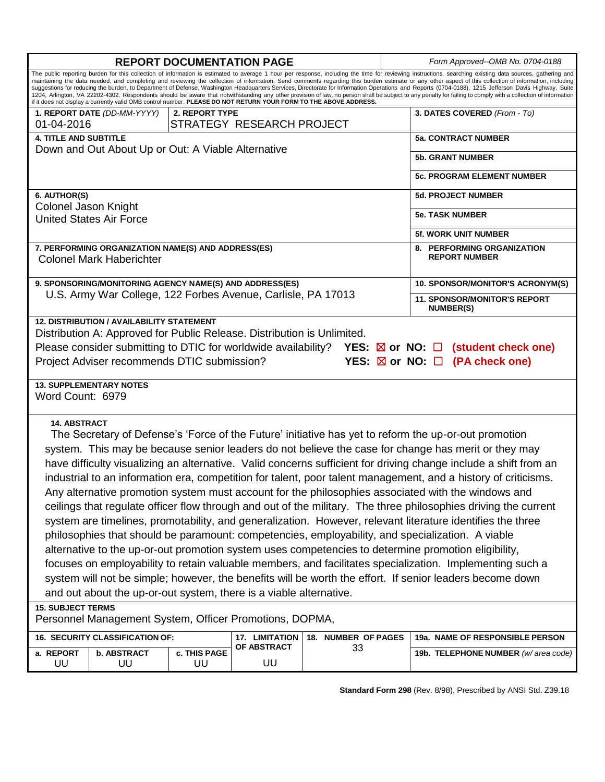| <b>REPORT DOCUMENTATION PAGE</b>                                                                                                                                                                                                                                                                                                                                                                                                                                                                                                                                                                                                                                                                                                                                                                                                                                                                                                                                                                                                                                                                                                                                                                                                                                                                                                                      |                    |                                      |                        |  | Form Approved--OMB No. 0704-0188                        |  |
|-------------------------------------------------------------------------------------------------------------------------------------------------------------------------------------------------------------------------------------------------------------------------------------------------------------------------------------------------------------------------------------------------------------------------------------------------------------------------------------------------------------------------------------------------------------------------------------------------------------------------------------------------------------------------------------------------------------------------------------------------------------------------------------------------------------------------------------------------------------------------------------------------------------------------------------------------------------------------------------------------------------------------------------------------------------------------------------------------------------------------------------------------------------------------------------------------------------------------------------------------------------------------------------------------------------------------------------------------------|--------------------|--------------------------------------|------------------------|--|---------------------------------------------------------|--|
| The public reporting burden for this collection of information is estimated to average 1 hour per response, including the time for reviewing instructions, searching existing data sources, gathering and<br>maintaining the data needed, and completing and reviewing the collection of information. Send comments regarding this burden estimate or any other aspect of this collection of information, including<br>suggestions for reducing the burden, to Department of Defense, Washington Headquarters Services, Directorate for Information Operations and Reports (0704-0188), 1215 Jefferson Davis Highway, Suite<br>1204, Arlington, VA 22202-4302. Respondents should be aware that notwithstanding any other provision of law, no person shall be subject to any penalty for failing to comply with a collection of information<br>if it does not display a currently valid OMB control number. PLEASE DO NOT RETURN YOUR FORM TO THE ABOVE ADDRESS.                                                                                                                                                                                                                                                                                                                                                                                     |                    |                                      |                        |  |                                                         |  |
| 1. REPORT DATE (DD-MM-YYYY)                                                                                                                                                                                                                                                                                                                                                                                                                                                                                                                                                                                                                                                                                                                                                                                                                                                                                                                                                                                                                                                                                                                                                                                                                                                                                                                           | 2. REPORT TYPE     |                                      |                        |  |                                                         |  |
| STRATEGY RESEARCH PROJECT<br>01-04-2016                                                                                                                                                                                                                                                                                                                                                                                                                                                                                                                                                                                                                                                                                                                                                                                                                                                                                                                                                                                                                                                                                                                                                                                                                                                                                                               |                    |                                      |                        |  |                                                         |  |
| <b>4. TITLE AND SUBTITLE</b>                                                                                                                                                                                                                                                                                                                                                                                                                                                                                                                                                                                                                                                                                                                                                                                                                                                                                                                                                                                                                                                                                                                                                                                                                                                                                                                          |                    |                                      |                        |  | <b>5a. CONTRACT NUMBER</b>                              |  |
| Down and Out About Up or Out: A Viable Alternative                                                                                                                                                                                                                                                                                                                                                                                                                                                                                                                                                                                                                                                                                                                                                                                                                                                                                                                                                                                                                                                                                                                                                                                                                                                                                                    |                    |                                      |                        |  | <b>5b. GRANT NUMBER</b>                                 |  |
|                                                                                                                                                                                                                                                                                                                                                                                                                                                                                                                                                                                                                                                                                                                                                                                                                                                                                                                                                                                                                                                                                                                                                                                                                                                                                                                                                       |                    |                                      |                        |  | <b>5c. PROGRAM ELEMENT NUMBER</b>                       |  |
| 6. AUTHOR(S)<br>Colonel Jason Knight                                                                                                                                                                                                                                                                                                                                                                                                                                                                                                                                                                                                                                                                                                                                                                                                                                                                                                                                                                                                                                                                                                                                                                                                                                                                                                                  |                    |                                      |                        |  | <b>5d. PROJECT NUMBER</b>                               |  |
| <b>United States Air Force</b>                                                                                                                                                                                                                                                                                                                                                                                                                                                                                                                                                                                                                                                                                                                                                                                                                                                                                                                                                                                                                                                                                                                                                                                                                                                                                                                        |                    |                                      | <b>5e. TASK NUMBER</b> |  |                                                         |  |
|                                                                                                                                                                                                                                                                                                                                                                                                                                                                                                                                                                                                                                                                                                                                                                                                                                                                                                                                                                                                                                                                                                                                                                                                                                                                                                                                                       |                    |                                      |                        |  | <b>5f. WORK UNIT NUMBER</b>                             |  |
| 7. PERFORMING ORGANIZATION NAME(S) AND ADDRESS(ES)<br><b>Colonel Mark Haberichter</b>                                                                                                                                                                                                                                                                                                                                                                                                                                                                                                                                                                                                                                                                                                                                                                                                                                                                                                                                                                                                                                                                                                                                                                                                                                                                 |                    |                                      |                        |  | 8. PERFORMING ORGANIZATION<br><b>REPORT NUMBER</b>      |  |
| 9. SPONSORING/MONITORING AGENCY NAME(S) AND ADDRESS(ES)                                                                                                                                                                                                                                                                                                                                                                                                                                                                                                                                                                                                                                                                                                                                                                                                                                                                                                                                                                                                                                                                                                                                                                                                                                                                                               |                    |                                      |                        |  | 10. SPONSOR/MONITOR'S ACRONYM(S)                        |  |
| U.S. Army War College, 122 Forbes Avenue, Carlisle, PA 17013                                                                                                                                                                                                                                                                                                                                                                                                                                                                                                                                                                                                                                                                                                                                                                                                                                                                                                                                                                                                                                                                                                                                                                                                                                                                                          |                    |                                      |                        |  | <b>11. SPONSOR/MONITOR'S REPORT</b><br><b>NUMBER(S)</b> |  |
| Distribution A: Approved for Public Release. Distribution is Unlimited.<br>Please consider submitting to DTIC for worldwide availability? YES: $\boxtimes$ or NO: $\Box$ (student check one)<br>Project Adviser recommends DTIC submission?<br>YES: $\boxtimes$ or NO: $\Box$ (PA check one)<br><b>13. SUPPLEMENTARY NOTES</b>                                                                                                                                                                                                                                                                                                                                                                                                                                                                                                                                                                                                                                                                                                                                                                                                                                                                                                                                                                                                                        |                    |                                      |                        |  |                                                         |  |
| Word Count: 6979                                                                                                                                                                                                                                                                                                                                                                                                                                                                                                                                                                                                                                                                                                                                                                                                                                                                                                                                                                                                                                                                                                                                                                                                                                                                                                                                      |                    |                                      |                        |  |                                                         |  |
| <b>14. ABSTRACT</b><br>The Secretary of Defense's 'Force of the Future' initiative has yet to reform the up-or-out promotion<br>system. This may be because senior leaders do not believe the case for change has merit or they may<br>have difficulty visualizing an alternative. Valid concerns sufficient for driving change include a shift from an<br>industrial to an information era, competition for talent, poor talent management, and a history of criticisms.<br>Any alternative promotion system must account for the philosophies associated with the windows and<br>ceilings that regulate officer flow through and out of the military. The three philosophies driving the current<br>system are timelines, promotability, and generalization. However, relevant literature identifies the three<br>philosophies that should be paramount: competencies, employability, and specialization. A viable<br>alternative to the up-or-out promotion system uses competencies to determine promotion eligibility,<br>focuses on employability to retain valuable members, and facilitates specialization. Implementing such a<br>system will not be simple; however, the benefits will be worth the effort. If senior leaders become down<br>and out about the up-or-out system, there is a viable alternative.<br><b>15. SUBJECT TERMS</b> |                    |                                      |                        |  |                                                         |  |
| Personnel Management System, Officer Promotions, DOPMA,                                                                                                                                                                                                                                                                                                                                                                                                                                                                                                                                                                                                                                                                                                                                                                                                                                                                                                                                                                                                                                                                                                                                                                                                                                                                                               |                    |                                      |                        |  |                                                         |  |
| 16. SECURITY CLASSIFICATION OF:                                                                                                                                                                                                                                                                                                                                                                                                                                                                                                                                                                                                                                                                                                                                                                                                                                                                                                                                                                                                                                                                                                                                                                                                                                                                                                                       |                    | 17. LIMITATION<br><b>OF ABSTRACT</b> | 18. NUMBER OF PAGES    |  | 19a. NAME OF RESPONSIBLE PERSON                         |  |
| a. REPORT<br><b>b. ABSTRACT</b><br>UU<br>UU                                                                                                                                                                                                                                                                                                                                                                                                                                                                                                                                                                                                                                                                                                                                                                                                                                                                                                                                                                                                                                                                                                                                                                                                                                                                                                           | c. THIS PAGE<br>UU | UU                                   | 33                     |  | 19b. TELEPHONE NUMBER (w/area code)                     |  |

**Standard Form 298** (Rev. 8/98), Prescribed by ANSI Std. Z39.18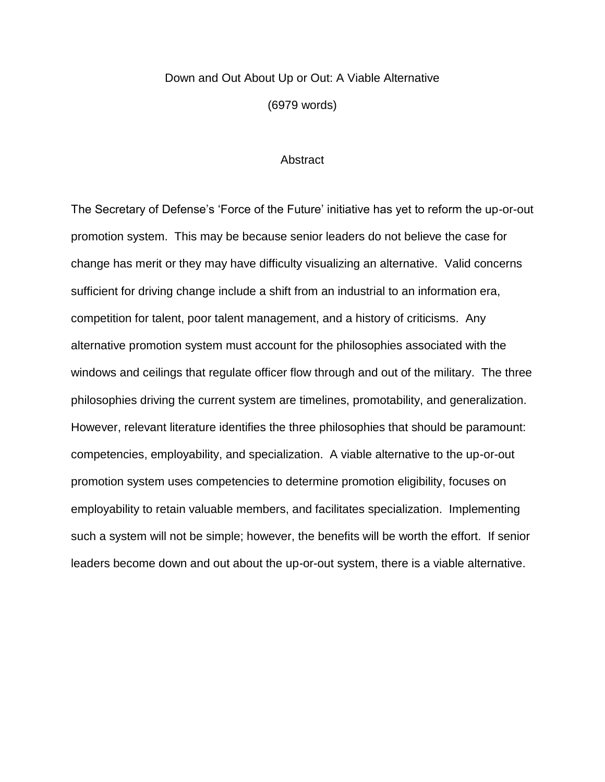## Down and Out About Up or Out: A Viable Alternative

(6979 words)

### **Abstract**

The Secretary of Defense's 'Force of the Future' initiative has yet to reform the up-or-out promotion system. This may be because senior leaders do not believe the case for change has merit or they may have difficulty visualizing an alternative. Valid concerns sufficient for driving change include a shift from an industrial to an information era, competition for talent, poor talent management, and a history of criticisms. Any alternative promotion system must account for the philosophies associated with the windows and ceilings that regulate officer flow through and out of the military. The three philosophies driving the current system are timelines, promotability, and generalization. However, relevant literature identifies the three philosophies that should be paramount: competencies, employability, and specialization. A viable alternative to the up-or-out promotion system uses competencies to determine promotion eligibility, focuses on employability to retain valuable members, and facilitates specialization. Implementing such a system will not be simple; however, the benefits will be worth the effort. If senior leaders become down and out about the up-or-out system, there is a viable alternative.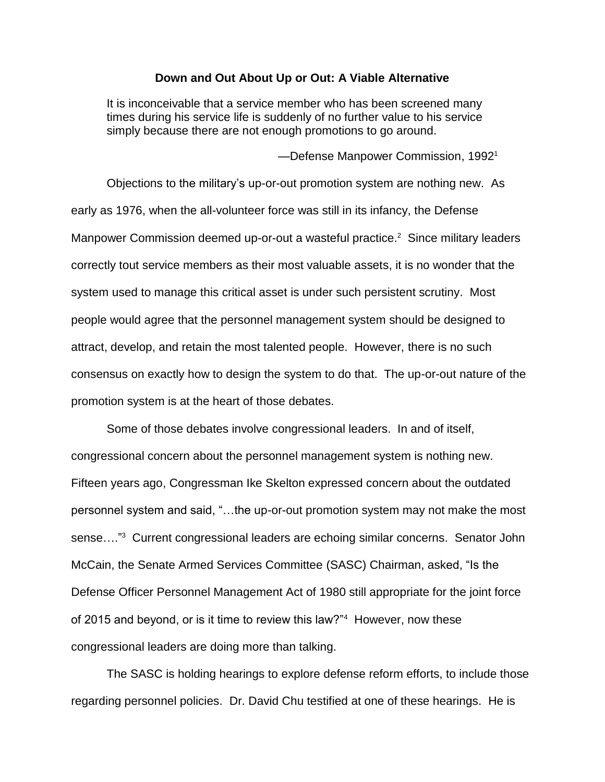### **Down and Out About Up or Out: A Viable Alternative**

It is inconceivable that a service member who has been screened many times during his service life is suddenly of no further value to his service simply because there are not enough promotions to go around.

—Defense Manpower Commission, 1992<sup>1</sup>

Objections to the military's up-or-out promotion system are nothing new. As early as 1976, when the all-volunteer force was still in its infancy, the Defense Manpower Commission deemed up-or-out a wasteful practice.<sup>2</sup> Since military leaders correctly tout service members as their most valuable assets, it is no wonder that the system used to manage this critical asset is under such persistent scrutiny. Most people would agree that the personnel management system should be designed to attract, develop, and retain the most talented people. However, there is no such consensus on exactly how to design the system to do that. The up-or-out nature of the promotion system is at the heart of those debates.

Some of those debates involve congressional leaders. In and of itself, congressional concern about the personnel management system is nothing new. Fifteen years ago, Congressman Ike Skelton expressed concern about the outdated personnel system and said, "…the up-or-out promotion system may not make the most sense...."<sup>3</sup> Current congressional leaders are echoing similar concerns. Senator John McCain, the Senate Armed Services Committee (SASC) Chairman, asked, "Is the Defense Officer Personnel Management Act of 1980 still appropriate for the joint force of 2015 and beyond, or is it time to review this law?"<sup>4</sup> However, now these congressional leaders are doing more than talking.

The SASC is holding hearings to explore defense reform efforts, to include those regarding personnel policies. Dr. David Chu testified at one of these hearings. He is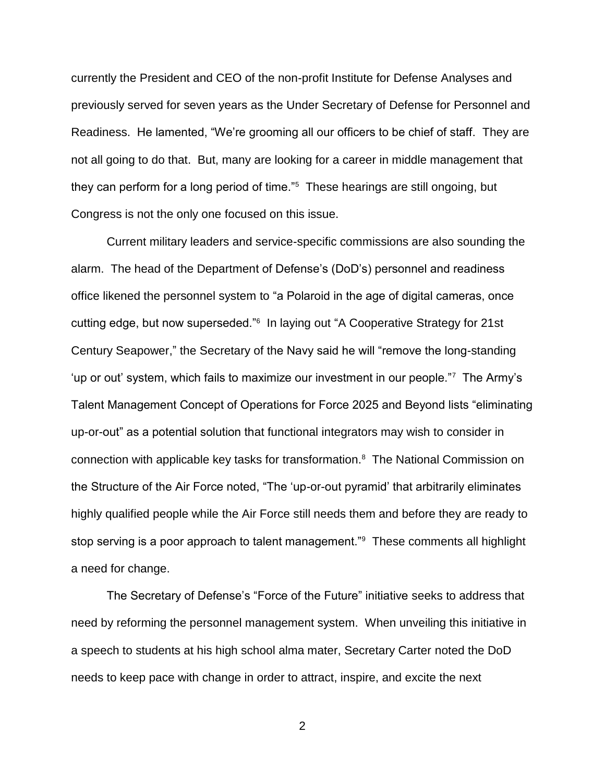currently the President and CEO of the non-profit Institute for Defense Analyses and previously served for seven years as the Under Secretary of Defense for Personnel and Readiness. He lamented, "We're grooming all our officers to be chief of staff. They are not all going to do that. But, many are looking for a career in middle management that they can perform for a long period of time."<sup>5</sup> These hearings are still ongoing, but Congress is not the only one focused on this issue.

Current military leaders and service-specific commissions are also sounding the alarm. The head of the Department of Defense's (DoD's) personnel and readiness office likened the personnel system to "a Polaroid in the age of digital cameras, once cutting edge, but now superseded."<sup>6</sup> In laying out "A Cooperative Strategy for 21st Century Seapower," the Secretary of the Navy said he will "remove the long-standing 'up or out' system, which fails to maximize our investment in our people."<sup>7</sup> The Army's Talent Management Concept of Operations for Force 2025 and Beyond lists "eliminating up-or-out" as a potential solution that functional integrators may wish to consider in connection with applicable key tasks for transformation.<sup>8</sup> The National Commission on the Structure of the Air Force noted, "The 'up-or-out pyramid' that arbitrarily eliminates highly qualified people while the Air Force still needs them and before they are ready to stop serving is a poor approach to talent management."<sup>9</sup> These comments all highlight a need for change.

The Secretary of Defense's "Force of the Future" initiative seeks to address that need by reforming the personnel management system. When unveiling this initiative in a speech to students at his high school alma mater, Secretary Carter noted the DoD needs to keep pace with change in order to attract, inspire, and excite the next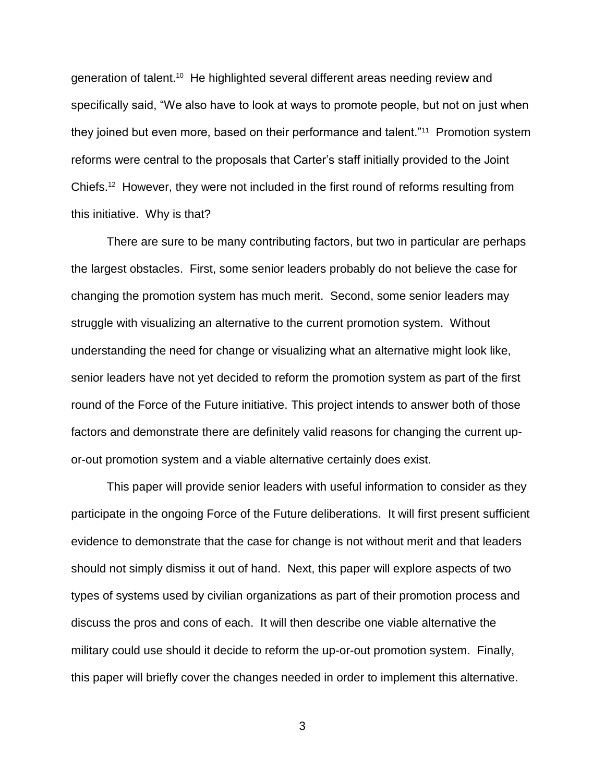generation of talent.<sup>10</sup> He highlighted several different areas needing review and specifically said, "We also have to look at ways to promote people, but not on just when they joined but even more, based on their performance and talent."<sup>11</sup> Promotion system reforms were central to the proposals that Carter's staff initially provided to the Joint Chiefs.<sup>12</sup> However, they were not included in the first round of reforms resulting from this initiative. Why is that?

There are sure to be many contributing factors, but two in particular are perhaps the largest obstacles. First, some senior leaders probably do not believe the case for changing the promotion system has much merit. Second, some senior leaders may struggle with visualizing an alternative to the current promotion system. Without understanding the need for change or visualizing what an alternative might look like, senior leaders have not yet decided to reform the promotion system as part of the first round of the Force of the Future initiative. This project intends to answer both of those factors and demonstrate there are definitely valid reasons for changing the current upor-out promotion system and a viable alternative certainly does exist.

This paper will provide senior leaders with useful information to consider as they participate in the ongoing Force of the Future deliberations. It will first present sufficient evidence to demonstrate that the case for change is not without merit and that leaders should not simply dismiss it out of hand. Next, this paper will explore aspects of two types of systems used by civilian organizations as part of their promotion process and discuss the pros and cons of each. It will then describe one viable alternative the military could use should it decide to reform the up-or-out promotion system. Finally, this paper will briefly cover the changes needed in order to implement this alternative.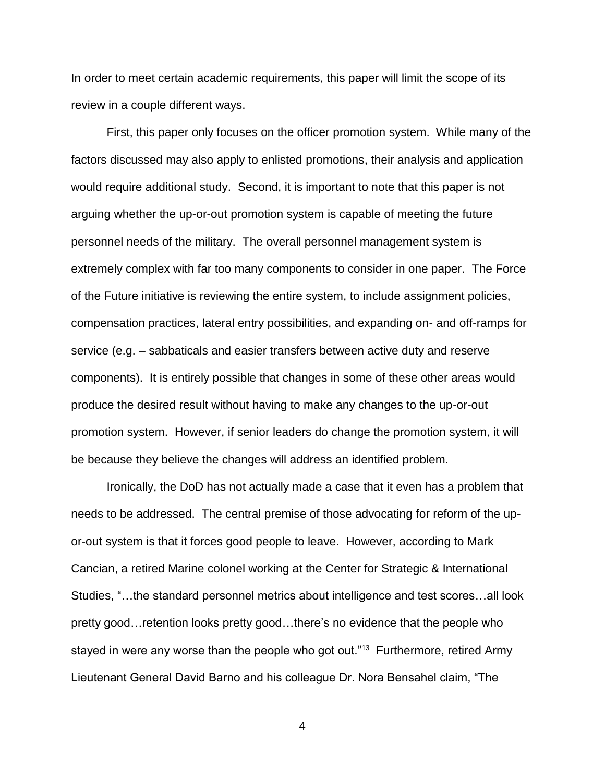In order to meet certain academic requirements, this paper will limit the scope of its review in a couple different ways.

First, this paper only focuses on the officer promotion system. While many of the factors discussed may also apply to enlisted promotions, their analysis and application would require additional study. Second, it is important to note that this paper is not arguing whether the up-or-out promotion system is capable of meeting the future personnel needs of the military. The overall personnel management system is extremely complex with far too many components to consider in one paper. The Force of the Future initiative is reviewing the entire system, to include assignment policies, compensation practices, lateral entry possibilities, and expanding on- and off-ramps for service (e.g. – sabbaticals and easier transfers between active duty and reserve components). It is entirely possible that changes in some of these other areas would produce the desired result without having to make any changes to the up-or-out promotion system. However, if senior leaders do change the promotion system, it will be because they believe the changes will address an identified problem.

Ironically, the DoD has not actually made a case that it even has a problem that needs to be addressed. The central premise of those advocating for reform of the upor-out system is that it forces good people to leave. However, according to Mark Cancian, a retired Marine colonel working at the Center for Strategic & International Studies, "…the standard personnel metrics about intelligence and test scores…all look pretty good…retention looks pretty good…there's no evidence that the people who stayed in were any worse than the people who got out."<sup>13</sup> Furthermore, retired Army Lieutenant General David Barno and his colleague Dr. Nora Bensahel claim, "The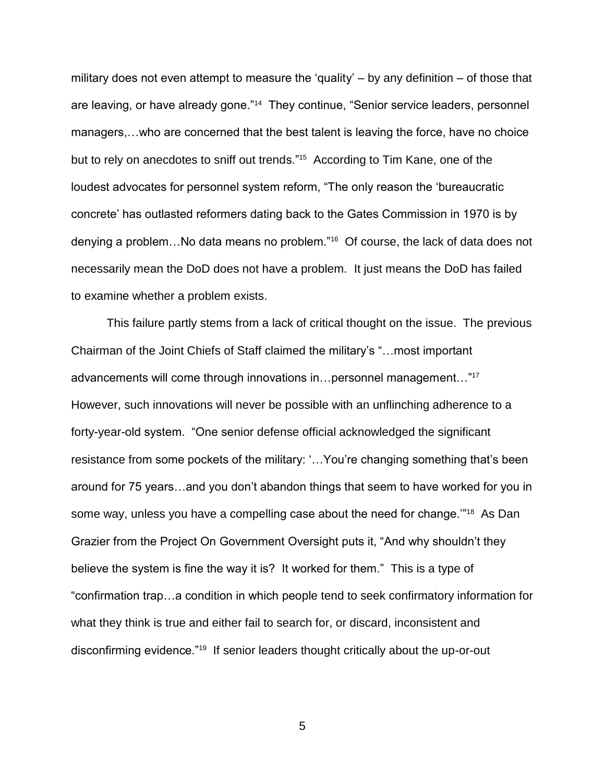military does not even attempt to measure the 'quality' – by any definition – of those that are leaving, or have already gone."<sup>14</sup> They continue, "Senior service leaders, personnel managers,…who are concerned that the best talent is leaving the force, have no choice but to rely on anecdotes to sniff out trends."<sup>15</sup> According to Tim Kane, one of the loudest advocates for personnel system reform, "The only reason the 'bureaucratic concrete' has outlasted reformers dating back to the Gates Commission in 1970 is by denying a problem…No data means no problem."<sup>16</sup> Of course, the lack of data does not necessarily mean the DoD does not have a problem. It just means the DoD has failed to examine whether a problem exists.

This failure partly stems from a lack of critical thought on the issue. The previous Chairman of the Joint Chiefs of Staff claimed the military's "…most important advancements will come through innovations in…personnel management…" 17 However, such innovations will never be possible with an unflinching adherence to a forty-year-old system. "One senior defense official acknowledged the significant resistance from some pockets of the military: '…You're changing something that's been around for 75 years…and you don't abandon things that seem to have worked for you in some way, unless you have a compelling case about the need for change.""<sup>18</sup> As Dan Grazier from the Project On Government Oversight puts it, "And why shouldn't they believe the system is fine the way it is? It worked for them." This is a type of "confirmation trap…a condition in which people tend to seek confirmatory information for what they think is true and either fail to search for, or discard, inconsistent and disconfirming evidence."<sup>19</sup> If senior leaders thought critically about the up-or-out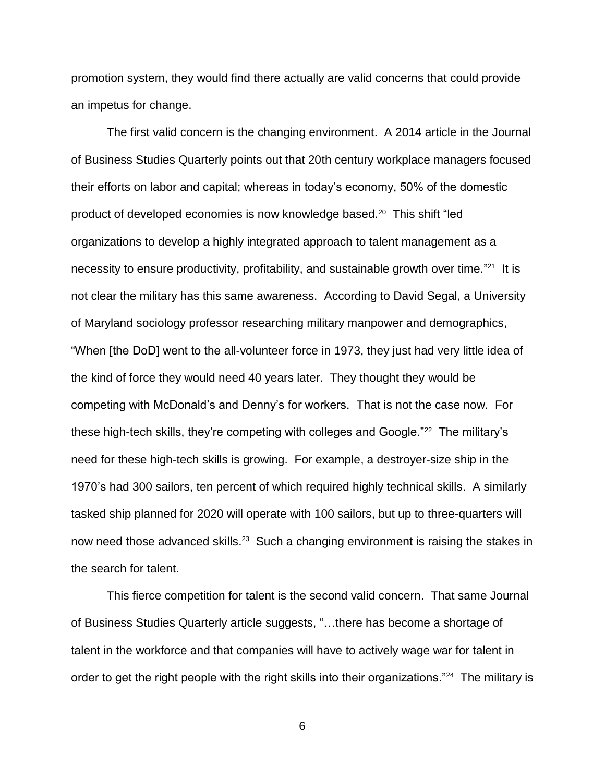promotion system, they would find there actually are valid concerns that could provide an impetus for change.

The first valid concern is the changing environment. A 2014 article in the Journal of Business Studies Quarterly points out that 20th century workplace managers focused their efforts on labor and capital; whereas in today's economy, 50% of the domestic product of developed economies is now knowledge based.<sup>20</sup> This shift "led organizations to develop a highly integrated approach to talent management as a necessity to ensure productivity, profitability, and sustainable growth over time."<sup>21</sup> It is not clear the military has this same awareness. According to David Segal, a University of Maryland sociology professor researching military manpower and demographics, "When [the DoD] went to the all-volunteer force in 1973, they just had very little idea of the kind of force they would need 40 years later. They thought they would be competing with McDonald's and Denny's for workers. That is not the case now. For these high-tech skills, they're competing with colleges and Google."<sup>22</sup> The military's need for these high-tech skills is growing. For example, a destroyer-size ship in the 1970's had 300 sailors, ten percent of which required highly technical skills. A similarly tasked ship planned for 2020 will operate with 100 sailors, but up to three-quarters will now need those advanced skills.<sup>23</sup> Such a changing environment is raising the stakes in the search for talent.

This fierce competition for talent is the second valid concern. That same Journal of Business Studies Quarterly article suggests, "…there has become a shortage of talent in the workforce and that companies will have to actively wage war for talent in order to get the right people with the right skills into their organizations."<sup>24</sup> The military is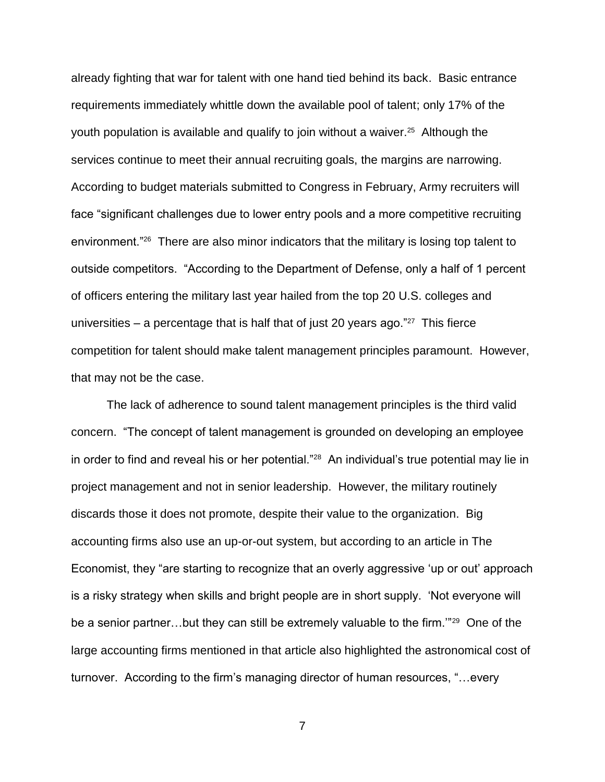already fighting that war for talent with one hand tied behind its back. Basic entrance requirements immediately whittle down the available pool of talent; only 17% of the youth population is available and qualify to join without a waiver.<sup>25</sup> Although the services continue to meet their annual recruiting goals, the margins are narrowing. According to budget materials submitted to Congress in February, Army recruiters will face "significant challenges due to lower entry pools and a more competitive recruiting environment."<sup>26</sup> There are also minor indicators that the military is losing top talent to outside competitors. "According to the Department of Defense, only a half of 1 percent of officers entering the military last year hailed from the top 20 U.S. colleges and universities  $-$  a percentage that is half that of just 20 years ago." $27$  This fierce competition for talent should make talent management principles paramount. However, that may not be the case.

The lack of adherence to sound talent management principles is the third valid concern. "The concept of talent management is grounded on developing an employee in order to find and reveal his or her potential."<sup>28</sup> An individual's true potential may lie in project management and not in senior leadership. However, the military routinely discards those it does not promote, despite their value to the organization. Big accounting firms also use an up-or-out system, but according to an article in The Economist, they "are starting to recognize that an overly aggressive 'up or out' approach is a risky strategy when skills and bright people are in short supply. 'Not everyone will be a senior partner...but they can still be extremely valuable to the firm."<sup>29</sup> One of the large accounting firms mentioned in that article also highlighted the astronomical cost of turnover. According to the firm's managing director of human resources, "…every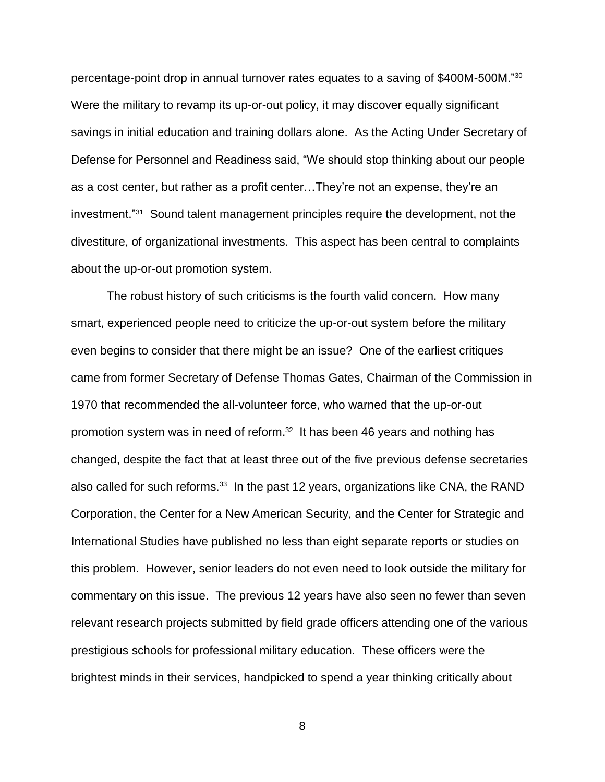percentage-point drop in annual turnover rates equates to a saving of \$400M-500M."<sup>30</sup> Were the military to revamp its up-or-out policy, it may discover equally significant savings in initial education and training dollars alone. As the Acting Under Secretary of Defense for Personnel and Readiness said, "We should stop thinking about our people as a cost center, but rather as a profit center…They're not an expense, they're an investment."<sup>31</sup> Sound talent management principles require the development, not the divestiture, of organizational investments. This aspect has been central to complaints about the up-or-out promotion system.

The robust history of such criticisms is the fourth valid concern. How many smart, experienced people need to criticize the up-or-out system before the military even begins to consider that there might be an issue? One of the earliest critiques came from former Secretary of Defense Thomas Gates, Chairman of the Commission in 1970 that recommended the all-volunteer force, who warned that the up-or-out promotion system was in need of reform. 32 It has been 46 years and nothing has changed, despite the fact that at least three out of the five previous defense secretaries also called for such reforms.<sup>33</sup> In the past 12 years, organizations like CNA, the RAND Corporation, the Center for a New American Security, and the Center for Strategic and International Studies have published no less than eight separate reports or studies on this problem. However, senior leaders do not even need to look outside the military for commentary on this issue. The previous 12 years have also seen no fewer than seven relevant research projects submitted by field grade officers attending one of the various prestigious schools for professional military education. These officers were the brightest minds in their services, handpicked to spend a year thinking critically about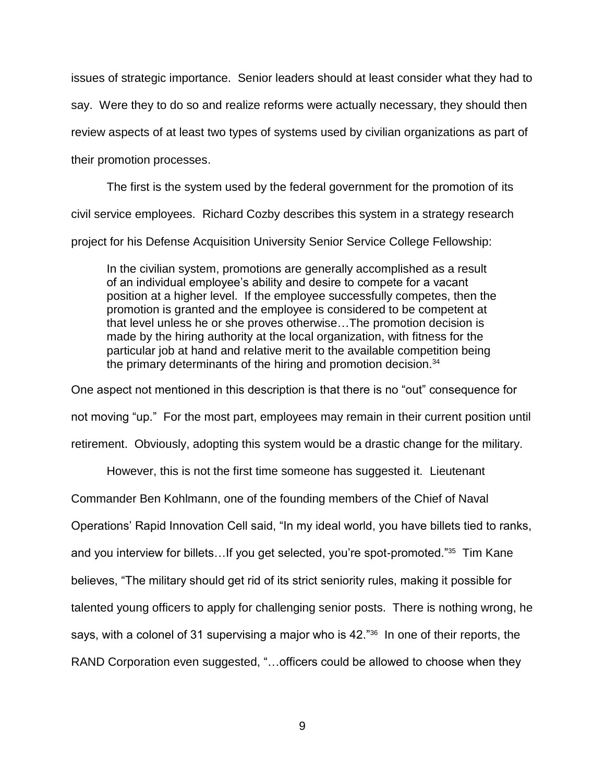issues of strategic importance. Senior leaders should at least consider what they had to say. Were they to do so and realize reforms were actually necessary, they should then review aspects of at least two types of systems used by civilian organizations as part of their promotion processes.

The first is the system used by the federal government for the promotion of its civil service employees. Richard Cozby describes this system in a strategy research project for his Defense Acquisition University Senior Service College Fellowship:

In the civilian system, promotions are generally accomplished as a result of an individual employee's ability and desire to compete for a vacant position at a higher level. If the employee successfully competes, then the promotion is granted and the employee is considered to be competent at that level unless he or she proves otherwise…The promotion decision is made by the hiring authority at the local organization, with fitness for the particular job at hand and relative merit to the available competition being the primary determinants of the hiring and promotion decision.<sup>34</sup>

One aspect not mentioned in this description is that there is no "out" consequence for not moving "up." For the most part, employees may remain in their current position until retirement. Obviously, adopting this system would be a drastic change for the military.

However, this is not the first time someone has suggested it. Lieutenant

Commander Ben Kohlmann, one of the founding members of the Chief of Naval

Operations' Rapid Innovation Cell said, "In my ideal world, you have billets tied to ranks,

and you interview for billets...If you get selected, you're spot-promoted."<sup>35</sup> Tim Kane

believes, "The military should get rid of its strict seniority rules, making it possible for

talented young officers to apply for challenging senior posts. There is nothing wrong, he

says, with a colonel of 31 supervising a major who is 42."<sup>36</sup> In one of their reports, the

RAND Corporation even suggested, "... officers could be allowed to choose when they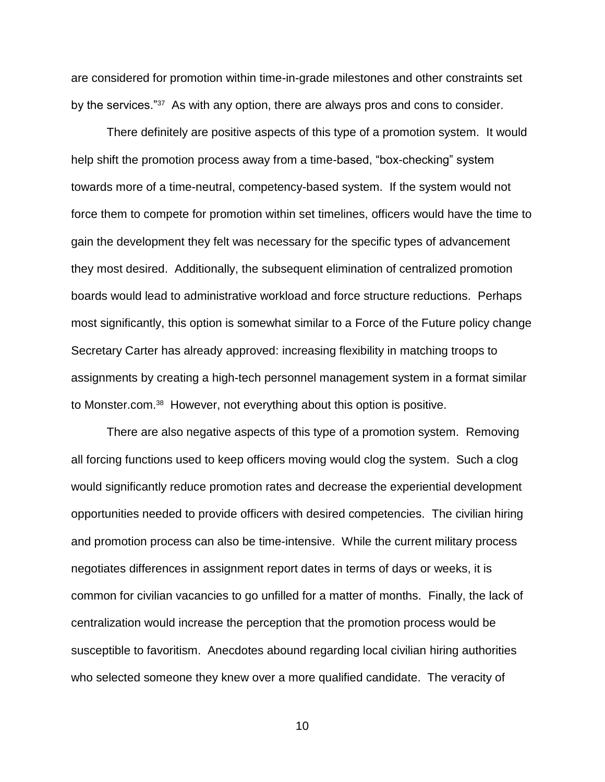are considered for promotion within time-in-grade milestones and other constraints set by the services."<sup>37</sup> As with any option, there are always pros and cons to consider.

There definitely are positive aspects of this type of a promotion system. It would help shift the promotion process away from a time-based, "box-checking" system towards more of a time-neutral, competency-based system. If the system would not force them to compete for promotion within set timelines, officers would have the time to gain the development they felt was necessary for the specific types of advancement they most desired. Additionally, the subsequent elimination of centralized promotion boards would lead to administrative workload and force structure reductions. Perhaps most significantly, this option is somewhat similar to a Force of the Future policy change Secretary Carter has already approved: increasing flexibility in matching troops to assignments by creating a high-tech personnel management system in a format similar to Monster.com.<sup>38</sup> However, not everything about this option is positive.

There are also negative aspects of this type of a promotion system. Removing all forcing functions used to keep officers moving would clog the system. Such a clog would significantly reduce promotion rates and decrease the experiential development opportunities needed to provide officers with desired competencies. The civilian hiring and promotion process can also be time-intensive. While the current military process negotiates differences in assignment report dates in terms of days or weeks, it is common for civilian vacancies to go unfilled for a matter of months. Finally, the lack of centralization would increase the perception that the promotion process would be susceptible to favoritism. Anecdotes abound regarding local civilian hiring authorities who selected someone they knew over a more qualified candidate. The veracity of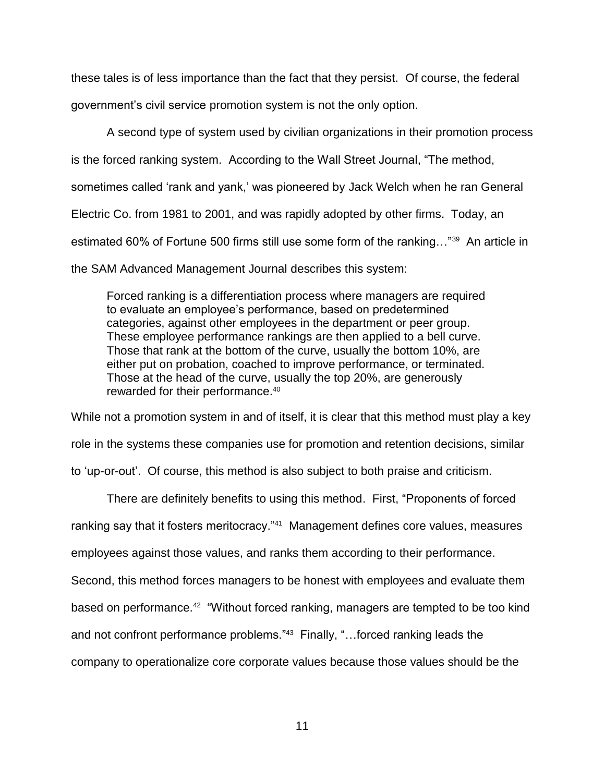these tales is of less importance than the fact that they persist. Of course, the federal government's civil service promotion system is not the only option.

A second type of system used by civilian organizations in their promotion process is the forced ranking system. According to the Wall Street Journal, "The method, sometimes called 'rank and yank,' was pioneered by Jack Welch when he ran General Electric Co. from 1981 to 2001, and was rapidly adopted by other firms. Today, an estimated 60% of Fortune 500 firms still use some form of the ranking..."<sup>39</sup> An article in the SAM Advanced Management Journal describes this system:

Forced ranking is a differentiation process where managers are required to evaluate an employee's performance, based on predetermined categories, against other employees in the department or peer group. These employee performance rankings are then applied to a bell curve. Those that rank at the bottom of the curve, usually the bottom 10%, are either put on probation, coached to improve performance, or terminated. Those at the head of the curve, usually the top 20%, are generously rewarded for their performance.<sup>40</sup>

While not a promotion system in and of itself, it is clear that this method must play a key role in the systems these companies use for promotion and retention decisions, similar to 'up-or-out'. Of course, this method is also subject to both praise and criticism.

There are definitely benefits to using this method. First, "Proponents of forced ranking say that it fosters meritocracy."<sup>41</sup> Management defines core values, measures employees against those values, and ranks them according to their performance. Second, this method forces managers to be honest with employees and evaluate them based on performance.<sup>42</sup> "Without forced ranking, managers are tempted to be too kind and not confront performance problems."<sup>43</sup> Finally, "...forced ranking leads the

company to operationalize core corporate values because those values should be the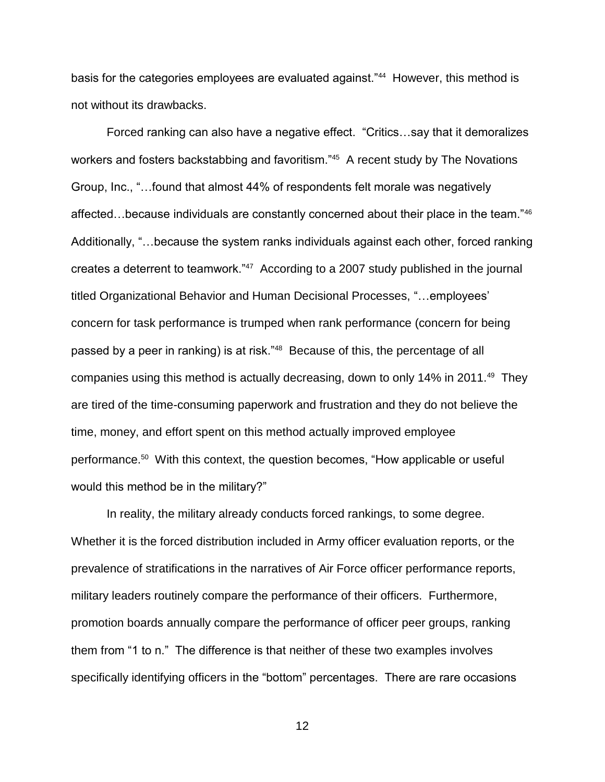basis for the categories employees are evaluated against."<sup>44</sup> However, this method is not without its drawbacks.

Forced ranking can also have a negative effect. "Critics…say that it demoralizes workers and fosters backstabbing and favoritism."<sup>45</sup> A recent study by The Novations Group, Inc., "…found that almost 44% of respondents felt morale was negatively affected…because individuals are constantly concerned about their place in the team."<sup>46</sup> Additionally, "…because the system ranks individuals against each other, forced ranking creates a deterrent to teamwork."<sup>47</sup> According to a 2007 study published in the journal titled Organizational Behavior and Human Decisional Processes, "…employees' concern for task performance is trumped when rank performance (concern for being passed by a peer in ranking) is at risk."<sup>48</sup> Because of this, the percentage of all companies using this method is actually decreasing, down to only 14% in 2011.<sup>49</sup> They are tired of the time-consuming paperwork and frustration and they do not believe the time, money, and effort spent on this method actually improved employee performance.<sup>50</sup> With this context, the question becomes, "How applicable or useful would this method be in the military?"

In reality, the military already conducts forced rankings, to some degree. Whether it is the forced distribution included in Army officer evaluation reports, or the prevalence of stratifications in the narratives of Air Force officer performance reports, military leaders routinely compare the performance of their officers. Furthermore, promotion boards annually compare the performance of officer peer groups, ranking them from "1 to n." The difference is that neither of these two examples involves specifically identifying officers in the "bottom" percentages. There are rare occasions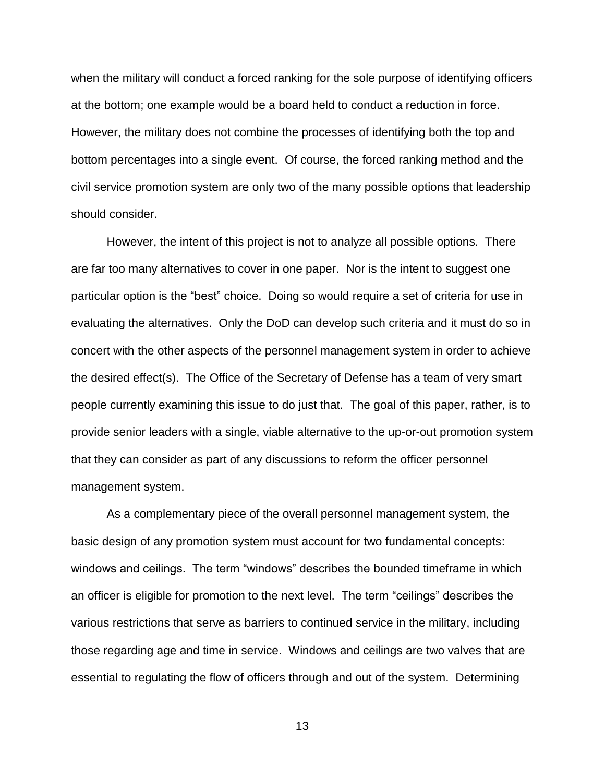when the military will conduct a forced ranking for the sole purpose of identifying officers at the bottom; one example would be a board held to conduct a reduction in force. However, the military does not combine the processes of identifying both the top and bottom percentages into a single event. Of course, the forced ranking method and the civil service promotion system are only two of the many possible options that leadership should consider.

However, the intent of this project is not to analyze all possible options. There are far too many alternatives to cover in one paper. Nor is the intent to suggest one particular option is the "best" choice. Doing so would require a set of criteria for use in evaluating the alternatives. Only the DoD can develop such criteria and it must do so in concert with the other aspects of the personnel management system in order to achieve the desired effect(s). The Office of the Secretary of Defense has a team of very smart people currently examining this issue to do just that. The goal of this paper, rather, is to provide senior leaders with a single, viable alternative to the up-or-out promotion system that they can consider as part of any discussions to reform the officer personnel management system.

As a complementary piece of the overall personnel management system, the basic design of any promotion system must account for two fundamental concepts: windows and ceilings. The term "windows" describes the bounded timeframe in which an officer is eligible for promotion to the next level. The term "ceilings" describes the various restrictions that serve as barriers to continued service in the military, including those regarding age and time in service. Windows and ceilings are two valves that are essential to regulating the flow of officers through and out of the system. Determining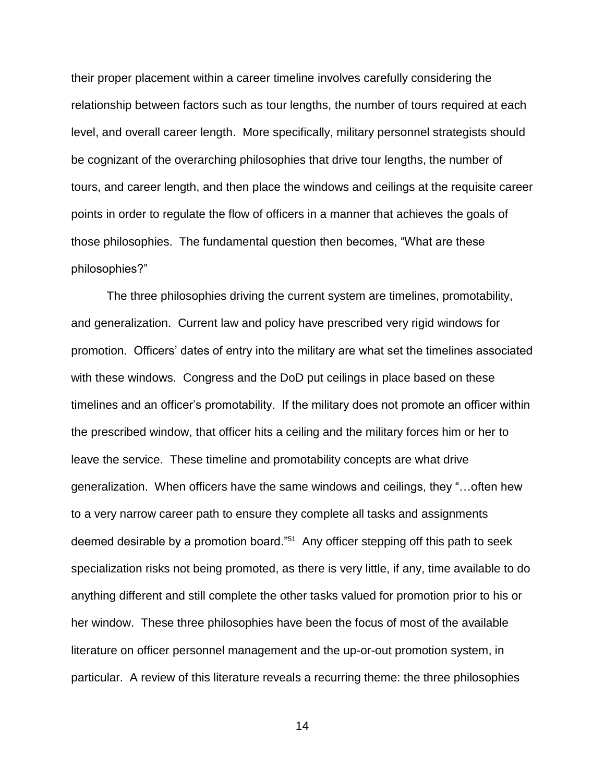their proper placement within a career timeline involves carefully considering the relationship between factors such as tour lengths, the number of tours required at each level, and overall career length. More specifically, military personnel strategists should be cognizant of the overarching philosophies that drive tour lengths, the number of tours, and career length, and then place the windows and ceilings at the requisite career points in order to regulate the flow of officers in a manner that achieves the goals of those philosophies. The fundamental question then becomes, "What are these philosophies?"

The three philosophies driving the current system are timelines, promotability, and generalization. Current law and policy have prescribed very rigid windows for promotion. Officers' dates of entry into the military are what set the timelines associated with these windows. Congress and the DoD put ceilings in place based on these timelines and an officer's promotability. If the military does not promote an officer within the prescribed window, that officer hits a ceiling and the military forces him or her to leave the service. These timeline and promotability concepts are what drive generalization. When officers have the same windows and ceilings, they "…often hew to a very narrow career path to ensure they complete all tasks and assignments deemed desirable by a promotion board."<sup>51</sup> Any officer stepping off this path to seek specialization risks not being promoted, as there is very little, if any, time available to do anything different and still complete the other tasks valued for promotion prior to his or her window. These three philosophies have been the focus of most of the available literature on officer personnel management and the up-or-out promotion system, in particular. A review of this literature reveals a recurring theme: the three philosophies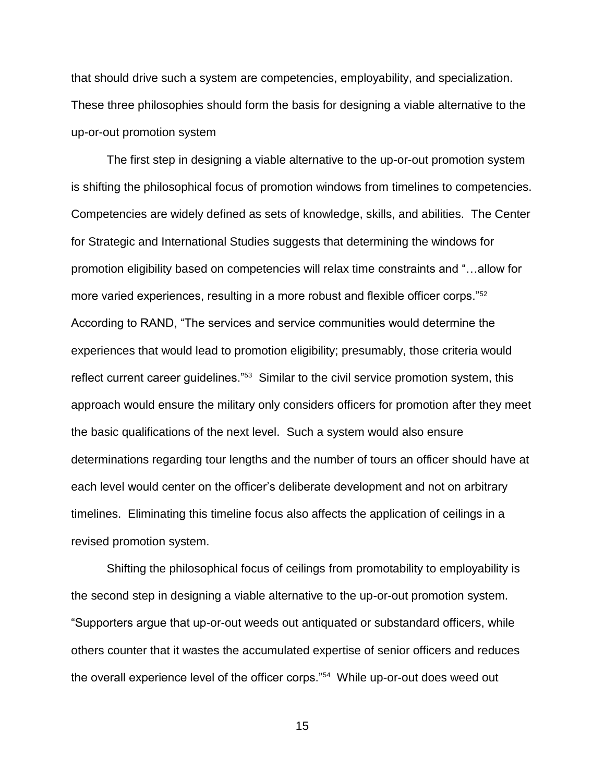that should drive such a system are competencies, employability, and specialization. These three philosophies should form the basis for designing a viable alternative to the up-or-out promotion system

The first step in designing a viable alternative to the up-or-out promotion system is shifting the philosophical focus of promotion windows from timelines to competencies. Competencies are widely defined as sets of knowledge, skills, and abilities. The Center for Strategic and International Studies suggests that determining the windows for promotion eligibility based on competencies will relax time constraints and "…allow for more varied experiences, resulting in a more robust and flexible officer corps."<sup>52</sup> According to RAND, "The services and service communities would determine the experiences that would lead to promotion eligibility; presumably, those criteria would reflect current career guidelines."<sup>53</sup> Similar to the civil service promotion system, this approach would ensure the military only considers officers for promotion after they meet the basic qualifications of the next level. Such a system would also ensure determinations regarding tour lengths and the number of tours an officer should have at each level would center on the officer's deliberate development and not on arbitrary timelines. Eliminating this timeline focus also affects the application of ceilings in a revised promotion system.

Shifting the philosophical focus of ceilings from promotability to employability is the second step in designing a viable alternative to the up-or-out promotion system. "Supporters argue that up-or-out weeds out antiquated or substandard officers, while others counter that it wastes the accumulated expertise of senior officers and reduces the overall experience level of the officer corps."<sup>54</sup> While up-or-out does weed out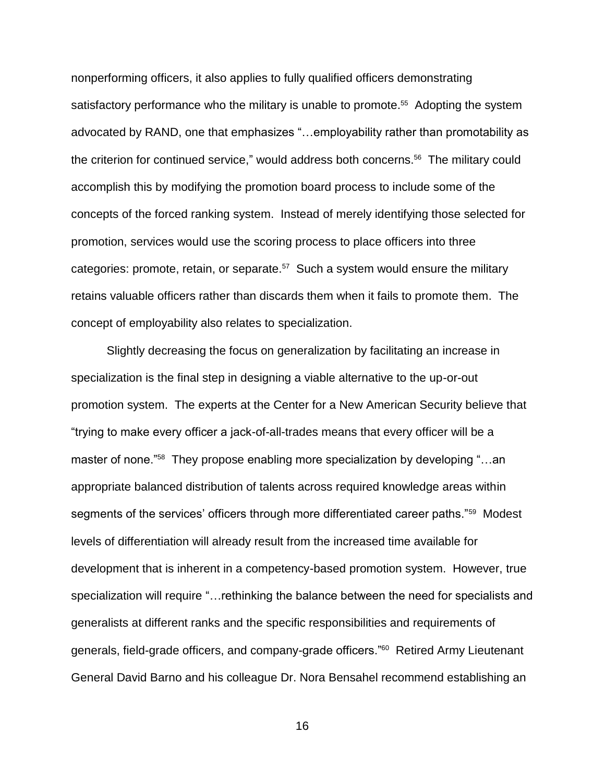nonperforming officers, it also applies to fully qualified officers demonstrating satisfactory performance who the military is unable to promote.<sup>55</sup> Adopting the system advocated by RAND, one that emphasizes "…employability rather than promotability as the criterion for continued service," would address both concerns.<sup>56</sup> The military could accomplish this by modifying the promotion board process to include some of the concepts of the forced ranking system. Instead of merely identifying those selected for promotion, services would use the scoring process to place officers into three categories: promote, retain, or separate. $57$  Such a system would ensure the military retains valuable officers rather than discards them when it fails to promote them. The concept of employability also relates to specialization.

Slightly decreasing the focus on generalization by facilitating an increase in specialization is the final step in designing a viable alternative to the up-or-out promotion system. The experts at the Center for a New American Security believe that "trying to make every officer a jack-of-all-trades means that every officer will be a master of none."<sup>58</sup> They propose enabling more specialization by developing "…an appropriate balanced distribution of talents across required knowledge areas within segments of the services' officers through more differentiated career paths."<sup>59</sup> Modest levels of differentiation will already result from the increased time available for development that is inherent in a competency-based promotion system. However, true specialization will require "…rethinking the balance between the need for specialists and generalists at different ranks and the specific responsibilities and requirements of generals, field-grade officers, and company-grade officers."<sup>60</sup> Retired Army Lieutenant General David Barno and his colleague Dr. Nora Bensahel recommend establishing an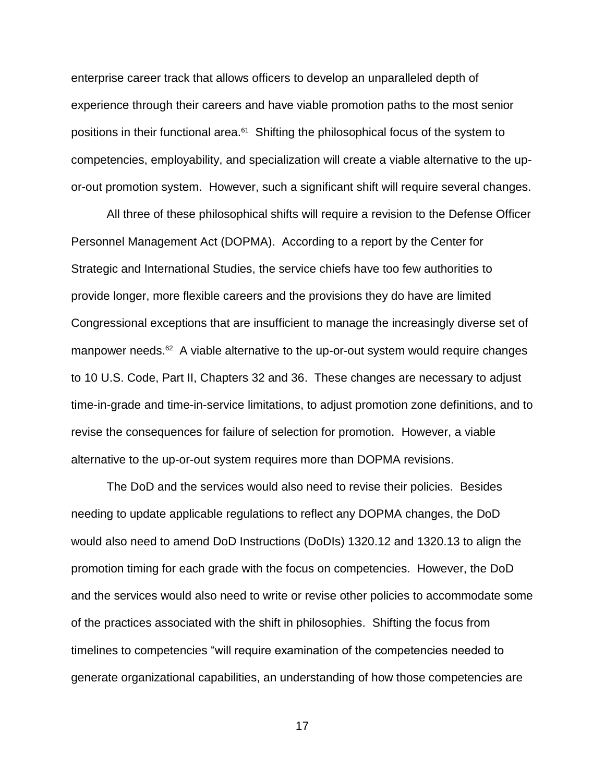enterprise career track that allows officers to develop an unparalleled depth of experience through their careers and have viable promotion paths to the most senior positions in their functional area.<sup>61</sup> Shifting the philosophical focus of the system to competencies, employability, and specialization will create a viable alternative to the upor-out promotion system. However, such a significant shift will require several changes.

All three of these philosophical shifts will require a revision to the Defense Officer Personnel Management Act (DOPMA). According to a report by the Center for Strategic and International Studies, the service chiefs have too few authorities to provide longer, more flexible careers and the provisions they do have are limited Congressional exceptions that are insufficient to manage the increasingly diverse set of manpower needs.<sup>62</sup> A viable alternative to the up-or-out system would require changes to 10 U.S. Code, Part II, Chapters 32 and 36. These changes are necessary to adjust time-in-grade and time-in-service limitations, to adjust promotion zone definitions, and to revise the consequences for failure of selection for promotion. However, a viable alternative to the up-or-out system requires more than DOPMA revisions.

The DoD and the services would also need to revise their policies. Besides needing to update applicable regulations to reflect any DOPMA changes, the DoD would also need to amend DoD Instructions (DoDIs) 1320.12 and 1320.13 to align the promotion timing for each grade with the focus on competencies. However, the DoD and the services would also need to write or revise other policies to accommodate some of the practices associated with the shift in philosophies. Shifting the focus from timelines to competencies "will require examination of the competencies needed to generate organizational capabilities, an understanding of how those competencies are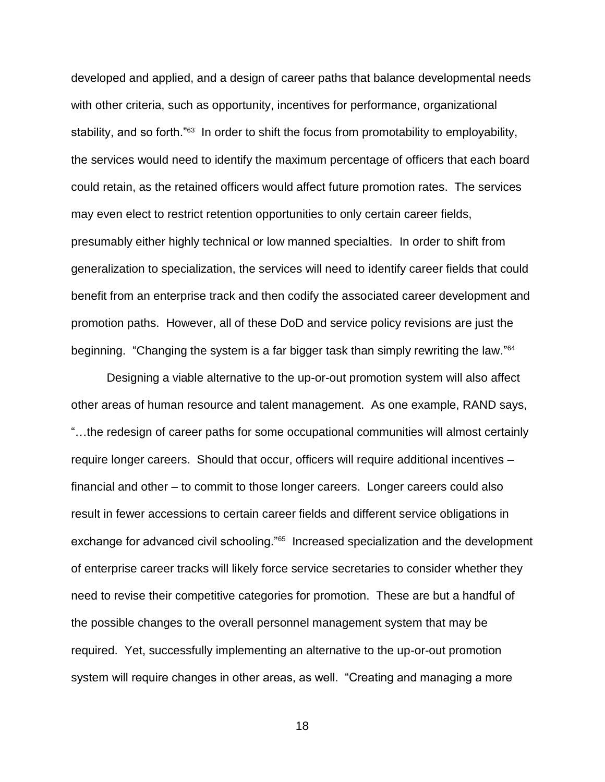developed and applied, and a design of career paths that balance developmental needs with other criteria, such as opportunity, incentives for performance, organizational stability, and so forth."<sup>63</sup> In order to shift the focus from promotability to employability, the services would need to identify the maximum percentage of officers that each board could retain, as the retained officers would affect future promotion rates. The services may even elect to restrict retention opportunities to only certain career fields, presumably either highly technical or low manned specialties. In order to shift from generalization to specialization, the services will need to identify career fields that could benefit from an enterprise track and then codify the associated career development and promotion paths. However, all of these DoD and service policy revisions are just the beginning. "Changing the system is a far bigger task than simply rewriting the law."<sup>64</sup>

Designing a viable alternative to the up-or-out promotion system will also affect other areas of human resource and talent management. As one example, RAND says, "…the redesign of career paths for some occupational communities will almost certainly require longer careers. Should that occur, officers will require additional incentives – financial and other – to commit to those longer careers. Longer careers could also result in fewer accessions to certain career fields and different service obligations in exchange for advanced civil schooling."<sup>65</sup> Increased specialization and the development of enterprise career tracks will likely force service secretaries to consider whether they need to revise their competitive categories for promotion. These are but a handful of the possible changes to the overall personnel management system that may be required. Yet, successfully implementing an alternative to the up-or-out promotion system will require changes in other areas, as well. "Creating and managing a more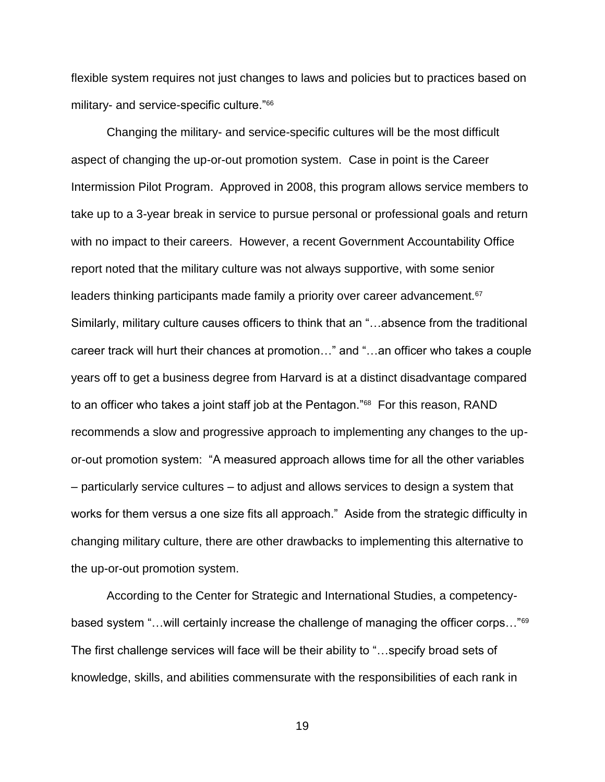flexible system requires not just changes to laws and policies but to practices based on military- and service-specific culture."<sup>66</sup>

Changing the military- and service-specific cultures will be the most difficult aspect of changing the up-or-out promotion system. Case in point is the Career Intermission Pilot Program. Approved in 2008, this program allows service members to take up to a 3-year break in service to pursue personal or professional goals and return with no impact to their careers. However, a recent Government Accountability Office report noted that the military culture was not always supportive, with some senior leaders thinking participants made family a priority over career advancement.<sup>67</sup> Similarly, military culture causes officers to think that an "…absence from the traditional career track will hurt their chances at promotion…" and "…an officer who takes a couple years off to get a business degree from Harvard is at a distinct disadvantage compared to an officer who takes a joint staff job at the Pentagon."<sup>68</sup> For this reason, RAND recommends a slow and progressive approach to implementing any changes to the upor-out promotion system: "A measured approach allows time for all the other variables – particularly service cultures – to adjust and allows services to design a system that works for them versus a one size fits all approach." Aside from the strategic difficulty in changing military culture, there are other drawbacks to implementing this alternative to the up-or-out promotion system.

According to the Center for Strategic and International Studies, a competencybased system "…will certainly increase the challenge of managing the officer corps…"<sup>69</sup> The first challenge services will face will be their ability to "…specify broad sets of knowledge, skills, and abilities commensurate with the responsibilities of each rank in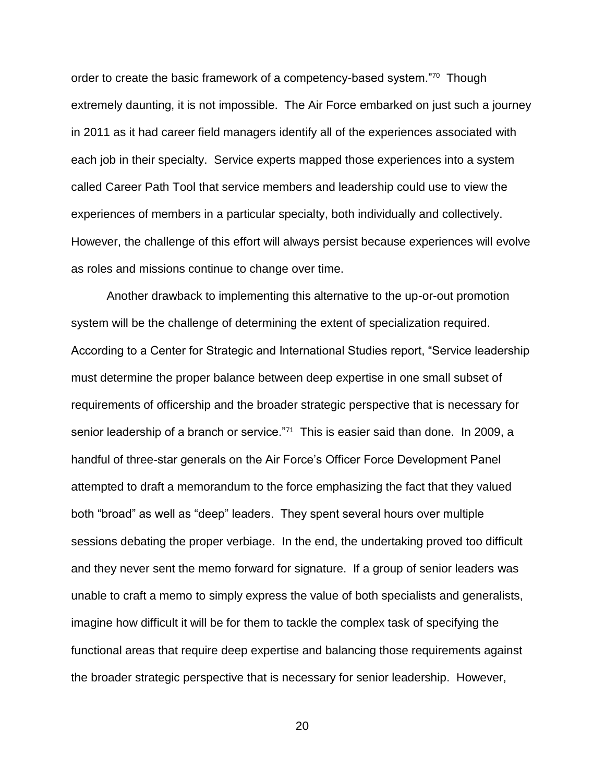order to create the basic framework of a competency-based system."<sup>70</sup> Though extremely daunting, it is not impossible. The Air Force embarked on just such a journey in 2011 as it had career field managers identify all of the experiences associated with each job in their specialty. Service experts mapped those experiences into a system called Career Path Tool that service members and leadership could use to view the experiences of members in a particular specialty, both individually and collectively. However, the challenge of this effort will always persist because experiences will evolve as roles and missions continue to change over time.

Another drawback to implementing this alternative to the up-or-out promotion system will be the challenge of determining the extent of specialization required. According to a Center for Strategic and International Studies report, "Service leadership must determine the proper balance between deep expertise in one small subset of requirements of officership and the broader strategic perspective that is necessary for senior leadership of a branch or service."<sup>71</sup> This is easier said than done. In 2009, a handful of three-star generals on the Air Force's Officer Force Development Panel attempted to draft a memorandum to the force emphasizing the fact that they valued both "broad" as well as "deep" leaders. They spent several hours over multiple sessions debating the proper verbiage. In the end, the undertaking proved too difficult and they never sent the memo forward for signature. If a group of senior leaders was unable to craft a memo to simply express the value of both specialists and generalists, imagine how difficult it will be for them to tackle the complex task of specifying the functional areas that require deep expertise and balancing those requirements against the broader strategic perspective that is necessary for senior leadership. However,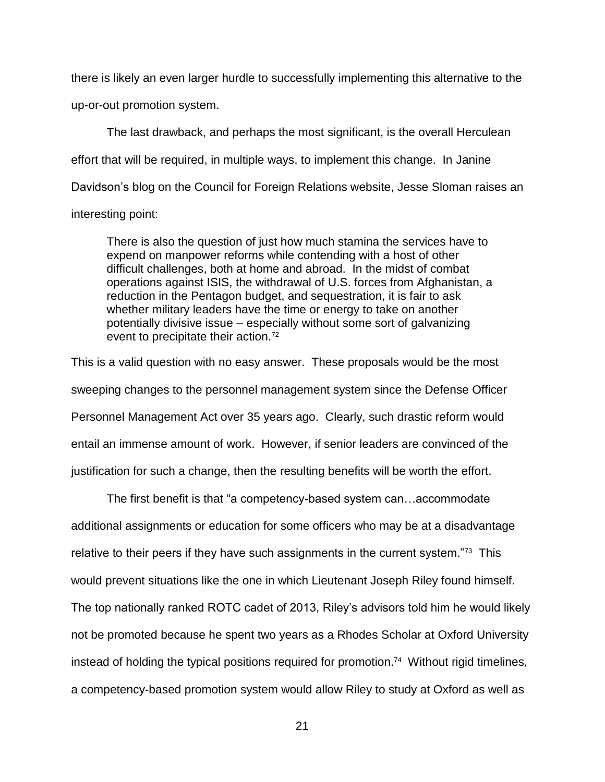there is likely an even larger hurdle to successfully implementing this alternative to the up-or-out promotion system.

The last drawback, and perhaps the most significant, is the overall Herculean effort that will be required, in multiple ways, to implement this change. In Janine Davidson's blog on the Council for Foreign Relations website, Jesse Sloman raises an interesting point:

There is also the question of just how much stamina the services have to expend on manpower reforms while contending with a host of other difficult challenges, both at home and abroad. In the midst of combat operations against ISIS, the withdrawal of U.S. forces from Afghanistan, a reduction in the Pentagon budget, and sequestration, it is fair to ask whether military leaders have the time or energy to take on another potentially divisive issue – especially without some sort of galvanizing event to precipitate their action.<sup>72</sup>

This is a valid question with no easy answer. These proposals would be the most sweeping changes to the personnel management system since the Defense Officer Personnel Management Act over 35 years ago. Clearly, such drastic reform would entail an immense amount of work. However, if senior leaders are convinced of the justification for such a change, then the resulting benefits will be worth the effort.

The first benefit is that "a competency-based system can…accommodate additional assignments or education for some officers who may be at a disadvantage relative to their peers if they have such assignments in the current system."<sup>73</sup> This would prevent situations like the one in which Lieutenant Joseph Riley found himself. The top nationally ranked ROTC cadet of 2013, Riley's advisors told him he would likely not be promoted because he spent two years as a Rhodes Scholar at Oxford University instead of holding the typical positions required for promotion.<sup>74</sup> Without rigid timelines, a competency-based promotion system would allow Riley to study at Oxford as well as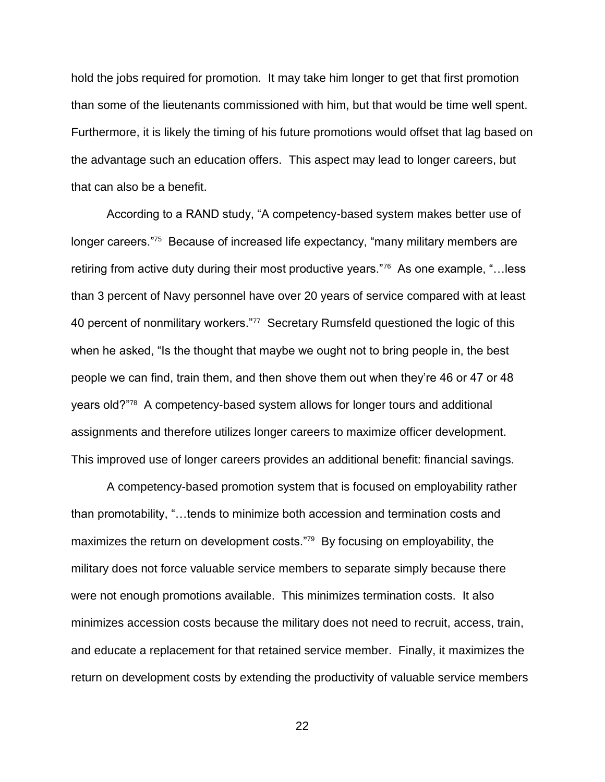hold the jobs required for promotion. It may take him longer to get that first promotion than some of the lieutenants commissioned with him, but that would be time well spent. Furthermore, it is likely the timing of his future promotions would offset that lag based on the advantage such an education offers. This aspect may lead to longer careers, but that can also be a benefit.

According to a RAND study, "A competency-based system makes better use of longer careers."<sup>75</sup> Because of increased life expectancy, "many military members are retiring from active duty during their most productive years."<sup>76</sup> As one example, "...less than 3 percent of Navy personnel have over 20 years of service compared with at least 40 percent of nonmilitary workers."<sup>77</sup> Secretary Rumsfeld questioned the logic of this when he asked, "Is the thought that maybe we ought not to bring people in, the best people we can find, train them, and then shove them out when they're 46 or 47 or 48 years old?"<sup>78</sup> A competency-based system allows for longer tours and additional assignments and therefore utilizes longer careers to maximize officer development. This improved use of longer careers provides an additional benefit: financial savings.

A competency-based promotion system that is focused on employability rather than promotability, "…tends to minimize both accession and termination costs and maximizes the return on development costs."<sup>79</sup> By focusing on employability, the military does not force valuable service members to separate simply because there were not enough promotions available. This minimizes termination costs. It also minimizes accession costs because the military does not need to recruit, access, train, and educate a replacement for that retained service member. Finally, it maximizes the return on development costs by extending the productivity of valuable service members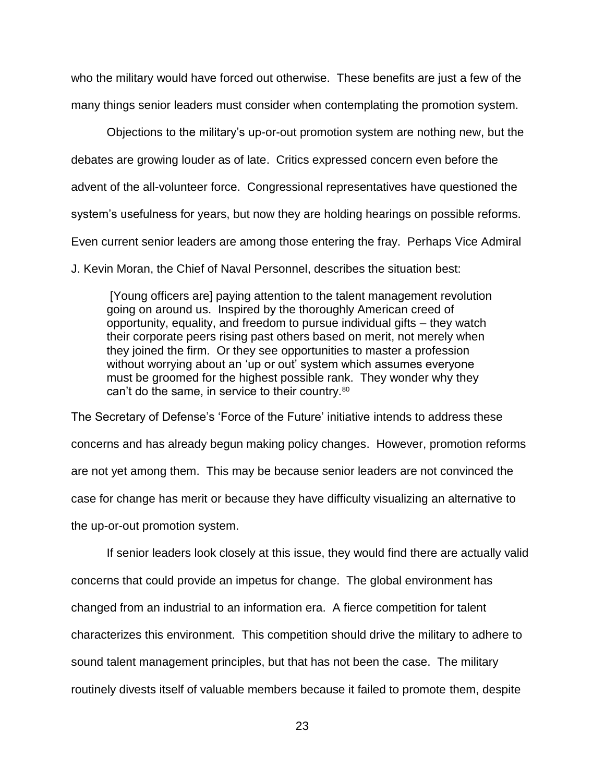who the military would have forced out otherwise. These benefits are just a few of the many things senior leaders must consider when contemplating the promotion system.

Objections to the military's up-or-out promotion system are nothing new, but the debates are growing louder as of late. Critics expressed concern even before the advent of the all-volunteer force. Congressional representatives have questioned the system's usefulness for years, but now they are holding hearings on possible reforms. Even current senior leaders are among those entering the fray. Perhaps Vice Admiral

J. Kevin Moran, the Chief of Naval Personnel, describes the situation best:

[Young officers are] paying attention to the talent management revolution going on around us. Inspired by the thoroughly American creed of opportunity, equality, and freedom to pursue individual gifts – they watch their corporate peers rising past others based on merit, not merely when they joined the firm. Or they see opportunities to master a profession without worrying about an 'up or out' system which assumes everyone must be groomed for the highest possible rank. They wonder why they can't do the same, in service to their country.<sup>80</sup>

The Secretary of Defense's 'Force of the Future' initiative intends to address these concerns and has already begun making policy changes. However, promotion reforms are not yet among them. This may be because senior leaders are not convinced the case for change has merit or because they have difficulty visualizing an alternative to the up-or-out promotion system.

If senior leaders look closely at this issue, they would find there are actually valid concerns that could provide an impetus for change. The global environment has changed from an industrial to an information era. A fierce competition for talent characterizes this environment. This competition should drive the military to adhere to sound talent management principles, but that has not been the case. The military routinely divests itself of valuable members because it failed to promote them, despite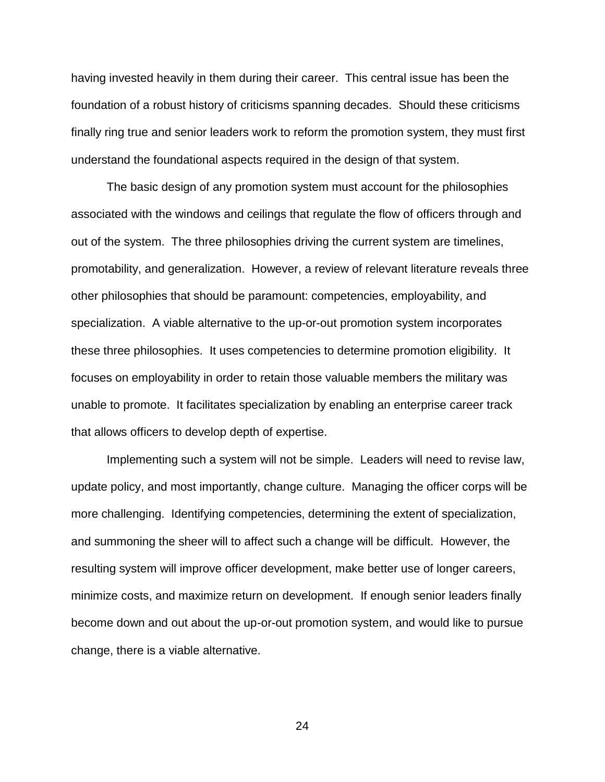having invested heavily in them during their career. This central issue has been the foundation of a robust history of criticisms spanning decades. Should these criticisms finally ring true and senior leaders work to reform the promotion system, they must first understand the foundational aspects required in the design of that system.

The basic design of any promotion system must account for the philosophies associated with the windows and ceilings that regulate the flow of officers through and out of the system. The three philosophies driving the current system are timelines, promotability, and generalization. However, a review of relevant literature reveals three other philosophies that should be paramount: competencies, employability, and specialization. A viable alternative to the up-or-out promotion system incorporates these three philosophies. It uses competencies to determine promotion eligibility. It focuses on employability in order to retain those valuable members the military was unable to promote. It facilitates specialization by enabling an enterprise career track that allows officers to develop depth of expertise.

Implementing such a system will not be simple. Leaders will need to revise law, update policy, and most importantly, change culture. Managing the officer corps will be more challenging. Identifying competencies, determining the extent of specialization, and summoning the sheer will to affect such a change will be difficult. However, the resulting system will improve officer development, make better use of longer careers, minimize costs, and maximize return on development. If enough senior leaders finally become down and out about the up-or-out promotion system, and would like to pursue change, there is a viable alternative.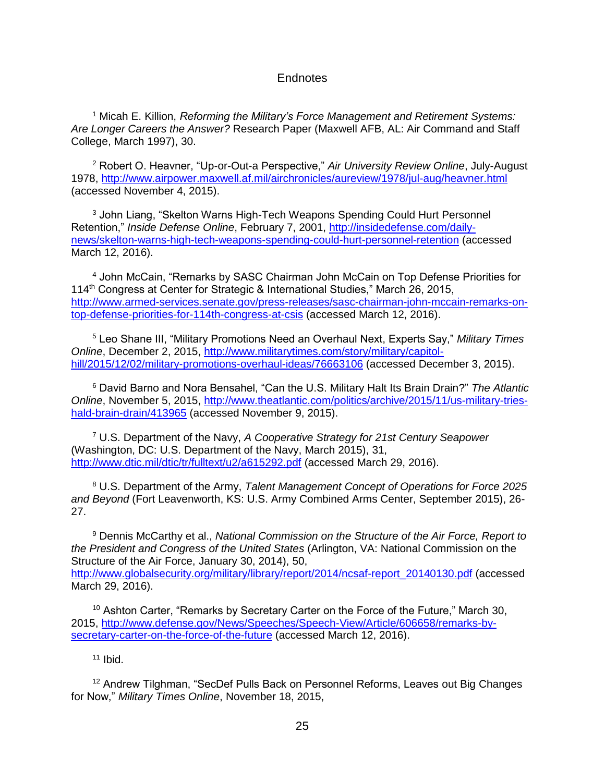# **Endnotes**

<sup>1</sup> Micah E. Killion, *Reforming the Military's Force Management and Retirement Systems: Are Longer Careers the Answer?* Research Paper (Maxwell AFB, AL: Air Command and Staff College, March 1997), 30.

<sup>2</sup> Robert O. Heavner, "Up-or-Out-a Perspective," *Air University Review Online*, July-August 1978,<http://www.airpower.maxwell.af.mil/airchronicles/aureview/1978/jul-aug/heavner.html> (accessed November 4, 2015).

<sup>3</sup> John Liang, "Skelton Warns High-Tech Weapons Spending Could Hurt Personnel Retention," *Inside Defense Online*, February 7, 2001, [http://insidedefense.com/daily](http://insidedefense.com/daily-news/skelton-warns-high-tech-weapons-spending-could-hurt-personnel-retention)[news/skelton-warns-high-tech-weapons-spending-could-hurt-personnel-retention](http://insidedefense.com/daily-news/skelton-warns-high-tech-weapons-spending-could-hurt-personnel-retention) (accessed March 12, 2016).

<sup>4</sup> John McCain, "Remarks by SASC Chairman John McCain on Top Defense Priorities for 114th Congress at Center for Strategic & International Studies," March 26, 2015, [http://www.armed-services.senate.gov/press-releases/sasc-chairman-john-mccain-remarks-on](http://www.armed-services.senate.gov/press-releases/sasc-chairman-john-mccain-remarks-on-top-defense-priorities-for-114th-congress-at-csis)[top-defense-priorities-for-114th-congress-at-csis](http://www.armed-services.senate.gov/press-releases/sasc-chairman-john-mccain-remarks-on-top-defense-priorities-for-114th-congress-at-csis) (accessed March 12, 2016).

<sup>5</sup> Leo Shane III, "Military Promotions Need an Overhaul Next, Experts Say," *Military Times Online*, December 2, 2015, [http://www.militarytimes.com/story/military/capitol](http://www.militarytimes.com/story/military/capitol-hill/2015/12/02/military-promotions-overhaul-ideas/76663106)[hill/2015/12/02/military-promotions-overhaul-ideas/76663106](http://www.militarytimes.com/story/military/capitol-hill/2015/12/02/military-promotions-overhaul-ideas/76663106) (accessed December 3, 2015).

<sup>6</sup> David Barno and Nora Bensahel, "Can the U.S. Military Halt Its Brain Drain?" *The Atlantic Online*, November 5, 2015, [http://www.theatlantic.com/politics/archive/2015/11/us-military-tries](http://www.theatlantic.com/politics/archive/2015/11/us-military-tries-hald-brain-drain/413965)[hald-brain-drain/413965](http://www.theatlantic.com/politics/archive/2015/11/us-military-tries-hald-brain-drain/413965) (accessed November 9, 2015).

<sup>7</sup> U.S. Department of the Navy, *A Cooperative Strategy for 21st Century Seapower* (Washington, DC: U.S. Department of the Navy, March 2015), 31, <http://www.dtic.mil/dtic/tr/fulltext/u2/a615292.pdf> (accessed March 29, 2016).

<sup>8</sup> U.S. Department of the Army, *Talent Management Concept of Operations for Force 2025 and Beyond* (Fort Leavenworth, KS: U.S. Army Combined Arms Center, September 2015), 26- 27.

<sup>9</sup> Dennis McCarthy et al., *National Commission on the Structure of the Air Force, Report to the President and Congress of the United States* (Arlington, VA: National Commission on the Structure of the Air Force, January 30, 2014), 50, [http://www.globalsecurity.org/military/library/report/2014/ncsaf-report\\_20140130.pdf](http://www.globalsecurity.org/military/library/report/2014/ncsaf-report_20140130.pdf) (accessed March 29, 2016).

<sup>10</sup> Ashton Carter, "Remarks by Secretary Carter on the Force of the Future," March 30, 2015, [http://www.defense.gov/News/Speeches/Speech-View/Article/606658/remarks-by](http://www.defense.gov/News/Speeches/Speech-View/Article/606658/remarks-by-secretary-carter-on-the-force-of-the-future)[secretary-carter-on-the-force-of-the-future](http://www.defense.gov/News/Speeches/Speech-View/Article/606658/remarks-by-secretary-carter-on-the-force-of-the-future) (accessed March 12, 2016).

11 Ibid.

<sup>12</sup> Andrew Tilghman, "SecDef Pulls Back on Personnel Reforms, Leaves out Big Changes for Now," *Military Times Online*, November 18, 2015,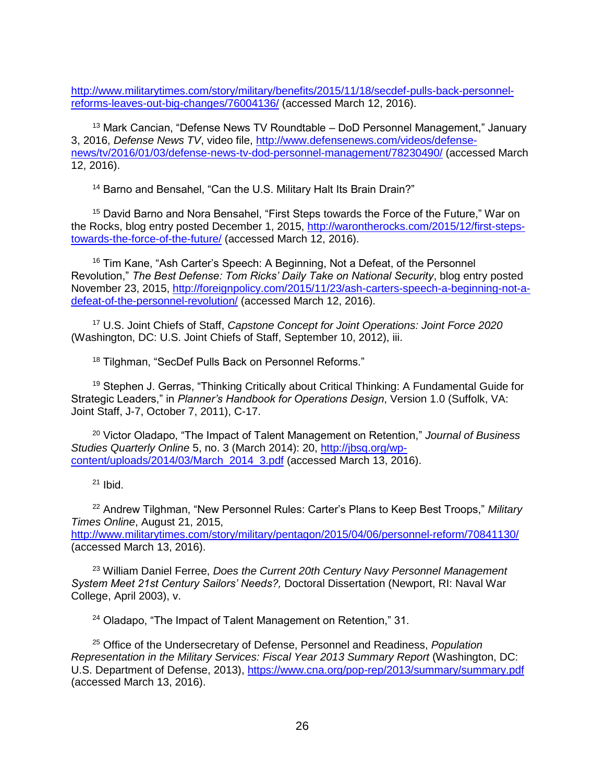[http://www.militarytimes.com/story/military/benefits/2015/11/18/secdef-pulls-back-personnel](http://www.militarytimes.com/story/military/benefits/2015/11/18/secdef-pulls-back-personnel-reforms-leaves-out-big-changes/76004136/)[reforms-leaves-out-big-changes/76004136/](http://www.militarytimes.com/story/military/benefits/2015/11/18/secdef-pulls-back-personnel-reforms-leaves-out-big-changes/76004136/) (accessed March 12, 2016).

<sup>13</sup> Mark Cancian, "Defense News TV Roundtable – DoD Personnel Management," January 3, 2016, *Defense News TV*, video file, [http://www.defensenews.com/videos/defense](http://www.defensenews.com/videos/defense-news/tv/2016/01/03/defense-news-tv-dod-personnel-management/78230490/)[news/tv/2016/01/03/defense-news-tv-dod-personnel-management/78230490/](http://www.defensenews.com/videos/defense-news/tv/2016/01/03/defense-news-tv-dod-personnel-management/78230490/) (accessed March 12, 2016).

<sup>14</sup> Barno and Bensahel, "Can the U.S. Military Halt Its Brain Drain?"

<sup>15</sup> David Barno and Nora Bensahel, "First Steps towards the Force of the Future," War on the Rocks, blog entry posted December 1, 2015, [http://warontherocks.com/2015/12/first-steps](http://warontherocks.com/2015/12/first-steps-towards-the-force-of-the-future/)[towards-the-force-of-the-future/](http://warontherocks.com/2015/12/first-steps-towards-the-force-of-the-future/) (accessed March 12, 2016).

<sup>16</sup> Tim Kane, "Ash Carter's Speech: A Beginning, Not a Defeat, of the Personnel Revolution," *The Best Defense: Tom Ricks' Daily Take on National Security*, blog entry posted November 23, 2015, [http://foreignpolicy.com/2015/11/23/ash-carters-speech-a-beginning-not-a](http://foreignpolicy.com/2015/11/23/ash-carters-speech-a-beginning-not-a-defeat-of-the-personnel-revolution/)[defeat-of-the-personnel-revolution/](http://foreignpolicy.com/2015/11/23/ash-carters-speech-a-beginning-not-a-defeat-of-the-personnel-revolution/) (accessed March 12, 2016).

<sup>17</sup> U.S. Joint Chiefs of Staff, *Capstone Concept for Joint Operations: Joint Force 2020* (Washington, DC: U.S. Joint Chiefs of Staff, September 10, 2012), iii.

<sup>18</sup> Tilghman, "SecDef Pulls Back on Personnel Reforms."

<sup>19</sup> Stephen J. Gerras, "Thinking Critically about Critical Thinking: A Fundamental Guide for Strategic Leaders," in *Planner's Handbook for Operations Design*, Version 1.0 (Suffolk, VA: Joint Staff, J-7, October 7, 2011), C-17.

<sup>20</sup> Victor Oladapo, "The Impact of Talent Management on Retention," *Journal of Business Studies Quarterly Online* 5, no. 3 (March 2014): 20, [http://jbsq.org/wp](http://jbsq.org/wp-content/uploads/2014/03/March_2014_3.pdf)[content/uploads/2014/03/March\\_2014\\_3.pdf](http://jbsq.org/wp-content/uploads/2014/03/March_2014_3.pdf) (accessed March 13, 2016).

 $21$  Ibid.

<sup>22</sup> Andrew Tilghman, "New Personnel Rules: Carter's Plans to Keep Best Troops," *Military Times Online*, August 21, 2015,

<http://www.militarytimes.com/story/military/pentagon/2015/04/06/personnel-reform/70841130/> (accessed March 13, 2016).

<sup>23</sup> William Daniel Ferree, *Does the Current 20th Century Navy Personnel Management System Meet 21st Century Sailors' Needs?,* Doctoral Dissertation (Newport, RI: Naval War College, April 2003), v.

<sup>24</sup> Oladapo, "The Impact of Talent Management on Retention," 31.

<sup>25</sup> Office of the Undersecretary of Defense, Personnel and Readiness, *Population Representation in the Military Services: Fiscal Year 2013 Summary Report* (Washington, DC: U.S. Department of Defense, 2013),<https://www.cna.org/pop-rep/2013/summary/summary.pdf> (accessed March 13, 2016).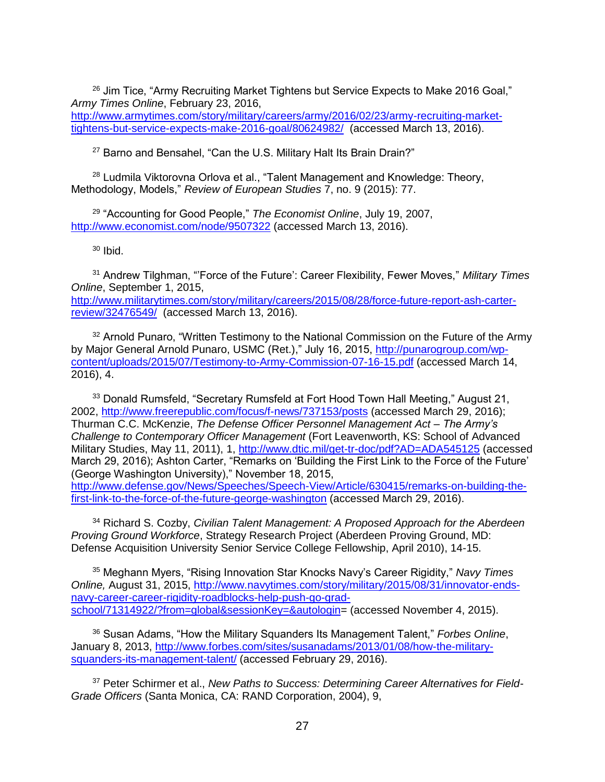$26$  Jim Tice, "Army Recruiting Market Tightens but Service Expects to Make 2016 Goal," *Army Times Online*, February 23, 2016, [http://www.armytimes.com/story/military/careers/army/2016/02/23/army-recruiting-market](http://www.armytimes.com/story/military/careers/army/2016/02/23/army-recruiting-market-tightens-but-service-expects-make-2016-goal/80624982/)[tightens-but-service-expects-make-2016-goal/80624982/](http://www.armytimes.com/story/military/careers/army/2016/02/23/army-recruiting-market-tightens-but-service-expects-make-2016-goal/80624982/) (accessed March 13, 2016).

<sup>27</sup> Barno and Bensahel, "Can the U.S. Military Halt Its Brain Drain?"

<sup>28</sup> Ludmila Viktorovna Orlova et al., "Talent Management and Knowledge: Theory, Methodology, Models," *Review of European Studies* 7, no. 9 (2015): 77.

<sup>29</sup> "Accounting for Good People," *The Economist Online*, July 19, 2007, <http://www.economist.com/node/9507322> (accessed March 13, 2016).

 $30$  Ibid.

<sup>31</sup> Andrew Tilghman, "'Force of the Future': Career Flexibility, Fewer Moves," *Military Times Online*, September 1, 2015, [http://www.militarytimes.com/story/military/careers/2015/08/28/force-future-report-ash-carter](http://www.militarytimes.com/story/military/careers/2015/08/28/force-future-report-ash-carter-review/32476549/)[review/32476549/](http://www.militarytimes.com/story/military/careers/2015/08/28/force-future-report-ash-carter-review/32476549/) (accessed March 13, 2016).

<sup>32</sup> Arnold Punaro, "Written Testimony to the National Commission on the Future of the Army by Major General Arnold Punaro, USMC (Ret.)," July 16, 2015, [http://punarogroup.com/wp](http://punarogroup.com/wp-content/uploads/2015/07/Testimony-to-Army-Commission-07-16-15.pdf)[content/uploads/2015/07/Testimony-to-Army-Commission-07-16-15.pdf](http://punarogroup.com/wp-content/uploads/2015/07/Testimony-to-Army-Commission-07-16-15.pdf) (accessed March 14, 2016), 4.

<sup>33</sup> Donald Rumsfeld, "Secretary Rumsfeld at Fort Hood Town Hall Meeting," August 21, 2002,<http://www.freerepublic.com/focus/f-news/737153/posts> (accessed March 29, 2016); Thurman C.C. McKenzie, *The Defense Officer Personnel Management Act – The Army's Challenge to Contemporary Officer Management* (Fort Leavenworth, KS: School of Advanced Military Studies, May 11, 2011), 1, http://www.dtic.mil/get-tr-doc/pdf?AD=ADA545125 (accessed March 29, 2016); Ashton Carter, "Remarks on 'Building the First Link to the Force of the Future' (George Washington University)," November 18, 2015, [http://www.defense.gov/News/Speeches/Speech-View/Article/630415/remarks-on-building-the](http://www.defense.gov/News/Speeches/Speech-View/Article/630415/remarks-on-building-the-first-link-to-the-force-of-the-future-george-washington)[first-link-to-the-force-of-the-future-george-washington](http://www.defense.gov/News/Speeches/Speech-View/Article/630415/remarks-on-building-the-first-link-to-the-force-of-the-future-george-washington) (accessed March 29, 2016).

<sup>34</sup> Richard S. Cozby, *Civilian Talent Management: A Proposed Approach for the Aberdeen Proving Ground Workforce*, Strategy Research Project (Aberdeen Proving Ground, MD: Defense Acquisition University Senior Service College Fellowship, April 2010), 14-15.

<sup>35</sup> Meghann Myers, "Rising Innovation Star Knocks Navy's Career Rigidity," *Navy Times Online,* August 31, 2015, [http://www.navytimes.com/story/military/2015/08/31/innovator-ends](http://www.navytimes.com/story/military/2015/08/31/innovator-ends-navy-career-career-rigidity-roadblocks-help-push-go-grad-school/71314922/?from=global&sessionKey=&autologin)[navy-career-career-rigidity-roadblocks-help-push-go-grad](http://www.navytimes.com/story/military/2015/08/31/innovator-ends-navy-career-career-rigidity-roadblocks-help-push-go-grad-school/71314922/?from=global&sessionKey=&autologin)[school/71314922/?from=global&sessionKey=&autologin=](http://www.navytimes.com/story/military/2015/08/31/innovator-ends-navy-career-career-rigidity-roadblocks-help-push-go-grad-school/71314922/?from=global&sessionKey=&autologin) (accessed November 4, 2015).

<sup>36</sup> Susan Adams, "How the Military Squanders Its Management Talent," *Forbes Online*, January 8, 2013, [http://www.forbes.com/sites/susanadams/2013/01/08/how-the-military](http://www.forbes.com/sites/susanadams/2013/01/08/how-the-military-squanders-its-management-talent/)[squanders-its-management-talent/](http://www.forbes.com/sites/susanadams/2013/01/08/how-the-military-squanders-its-management-talent/) (accessed February 29, 2016).

<sup>37</sup> Peter Schirmer et al., *New Paths to Success: Determining Career Alternatives for Field-Grade Officers* (Santa Monica, CA: RAND Corporation, 2004), 9,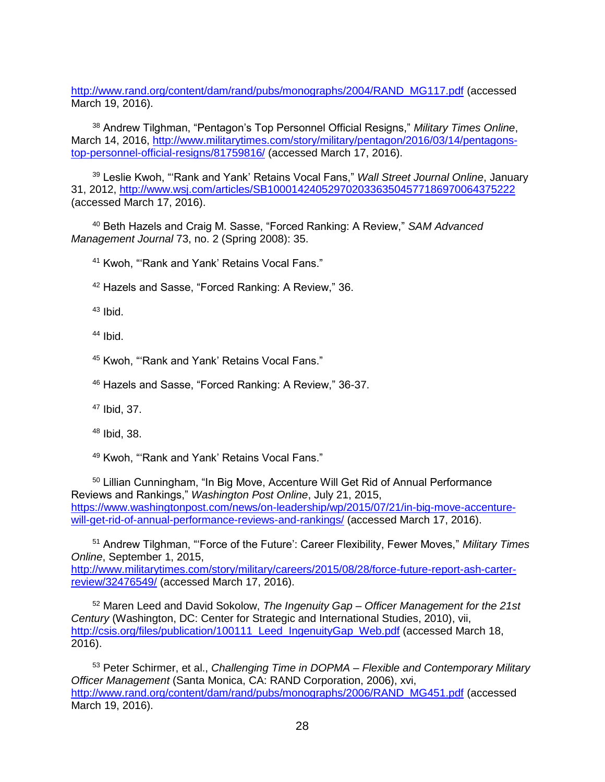[http://www.rand.org/content/dam/rand/pubs/monographs/2004/RAND\\_MG117.pdf](http://www.rand.org/content/dam/rand/pubs/monographs/2004/RAND_MG117.pdf) (accessed March 19, 2016).

<sup>38</sup> Andrew Tilghman, "Pentagon's Top Personnel Official Resigns," *Military Times Online*, March 14, 2016, [http://www.militarytimes.com/story/military/pentagon/2016/03/14/pentagons](http://www.militarytimes.com/story/military/pentagon/2016/03/14/pentagons-top-personnel-official-resigns/81759816/)[top-personnel-official-resigns/81759816/](http://www.militarytimes.com/story/military/pentagon/2016/03/14/pentagons-top-personnel-official-resigns/81759816/) (accessed March 17, 2016).

<sup>39</sup> Leslie Kwoh, "'Rank and Yank' Retains Vocal Fans," *Wall Street Journal Online*, January 31, 2012,<http://www.wsj.com/articles/SB10001424052970203363504577186970064375222> (accessed March 17, 2016).

<sup>40</sup> Beth Hazels and Craig M. Sasse, "Forced Ranking: A Review," *SAM Advanced Management Journal* 73, no. 2 (Spring 2008): 35.

<sup>41</sup> Kwoh, "'Rank and Yank' Retains Vocal Fans."

<sup>42</sup> Hazels and Sasse, "Forced Ranking: A Review," 36.

 $43$  Ibid.

<sup>44</sup> Ibid.

<sup>45</sup> Kwoh, "'Rank and Yank' Retains Vocal Fans."

<sup>46</sup> Hazels and Sasse, "Forced Ranking: A Review," 36-37.

<sup>47</sup> Ibid, 37.

<sup>48</sup> Ibid, 38.

<sup>49</sup> Kwoh, "'Rank and Yank' Retains Vocal Fans."

<sup>50</sup> Lillian Cunningham, "In Big Move, Accenture Will Get Rid of Annual Performance Reviews and Rankings," *Washington Post Online*, July 21, 2015, [https://www.washingtonpost.com/news/on-leadership/wp/2015/07/21/in-big-move-accenture](https://www.washingtonpost.com/news/on-leadership/wp/2015/07/21/in-big-move-accenture-will-get-rid-of-annual-performance-reviews-and-rankings/)[will-get-rid-of-annual-performance-reviews-and-rankings/](https://www.washingtonpost.com/news/on-leadership/wp/2015/07/21/in-big-move-accenture-will-get-rid-of-annual-performance-reviews-and-rankings/) (accessed March 17, 2016).

<sup>51</sup> Andrew Tilghman, "'Force of the Future': Career Flexibility, Fewer Moves," *Military Times Online*, September 1, 2015, [http://www.militarytimes.com/story/military/careers/2015/08/28/force-future-report-ash-carter-](http://www.militarytimes.com/story/military/careers/2015/08/28/force-future-report-ash-carter-review/32476549/)

[review/32476549/](http://www.militarytimes.com/story/military/careers/2015/08/28/force-future-report-ash-carter-review/32476549/) (accessed March 17, 2016).

<sup>52</sup> Maren Leed and David Sokolow, *The Ingenuity Gap – Officer Management for the 21st Century* (Washington, DC: Center for Strategic and International Studies, 2010), vii, [http://csis.org/files/publication/100111\\_Leed\\_IngenuityGap\\_Web.pdf](http://csis.org/files/publication/100111_Leed_IngenuityGap_Web.pdf) (accessed March 18, 2016).

<sup>53</sup> Peter Schirmer, et al., *Challenging Time in DOPMA – Flexible and Contemporary Military Officer Management* (Santa Monica, CA: RAND Corporation, 2006), xvi, [http://www.rand.org/content/dam/rand/pubs/monographs/2006/RAND\\_MG451.pdf](http://www.rand.org/content/dam/rand/pubs/monographs/2006/RAND_MG451.pdf) (accessed March 19, 2016).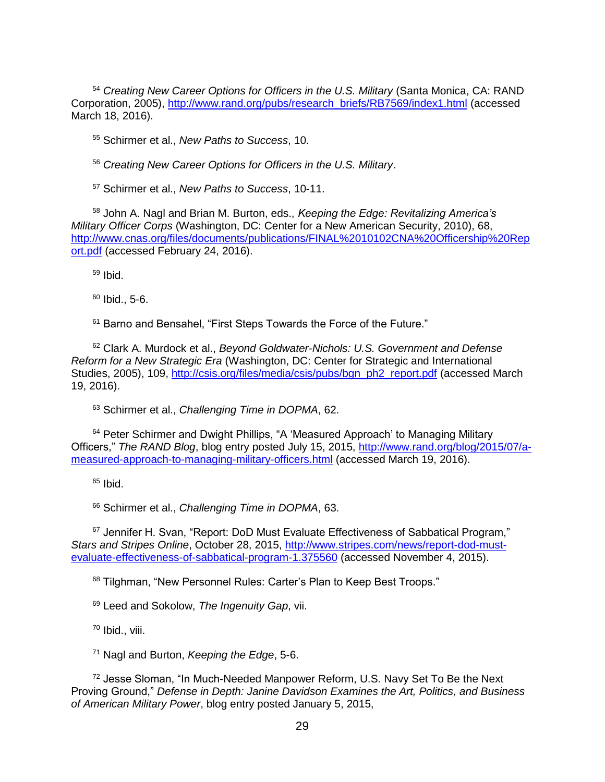<sup>54</sup> *Creating New Career Options for Officers in the U.S. Military* (Santa Monica, CA: RAND Corporation, 2005), [http://www.rand.org/pubs/research\\_briefs/RB7569/index1.html](http://www.rand.org/pubs/research_briefs/RB7569/index1.html) (accessed March 18, 2016).

<sup>55</sup> Schirmer et al., *New Paths to Success*, 10.

<sup>56</sup> *Creating New Career Options for Officers in the U.S. Military*.

<sup>57</sup> Schirmer et al., *New Paths to Success*, 10-11.

<sup>58</sup> John A. Nagl and Brian M. Burton, eds., *Keeping the Edge: Revitalizing America's Military Officer Corps* (Washington, DC: Center for a New American Security, 2010), 68, [http://www.cnas.org/files/documents/publications/FINAL%2010102CNA%20Officership%20Rep](http://www.cnas.org/files/documents/publications/FINAL%2010102CNA%20Officership%20Report.pdf) [ort.pdf](http://www.cnas.org/files/documents/publications/FINAL%2010102CNA%20Officership%20Report.pdf) (accessed February 24, 2016).

 $59$  Ibid.

 $60$  Ibid., 5-6.

<sup>61</sup> Barno and Bensahel, "First Steps Towards the Force of the Future."

<sup>62</sup> Clark A. Murdock et al., *Beyond Goldwater-Nichols: U.S. Government and Defense Reform for a New Strategic Era* (Washington, DC: Center for Strategic and International Studies, 2005), 109, [http://csis.org/files/media/csis/pubs/bgn\\_ph2\\_report.pdf](http://csis.org/files/media/csis/pubs/bgn_ph2_report.pdf) (accessed March 19, 2016).

<sup>63</sup> Schirmer et al., *Challenging Time in DOPMA*, 62.

<sup>64</sup> Peter Schirmer and Dwight Phillips, "A 'Measured Approach' to Managing Military Officers," *The RAND Blog*, blog entry posted July 15, 2015, [http://www.rand.org/blog/2015/07/a](http://www.rand.org/blog/2015/07/a-measured-approach-to-managing-military-officers.html)[measured-approach-to-managing-military-officers.html](http://www.rand.org/blog/2015/07/a-measured-approach-to-managing-military-officers.html) (accessed March 19, 2016).

 $65$  Ibid.

<sup>66</sup> Schirmer et al., *Challenging Time in DOPMA*, 63.

<sup>67</sup> Jennifer H. Svan, "Report: DoD Must Evaluate Effectiveness of Sabbatical Program." *Stars and Stripes Online*, October 28, 2015, [http://www.stripes.com/news/report-dod-must](http://www.stripes.com/news/report-dod-must-evaluate-effectiveness-of-sabbatical-program-1.375560)[evaluate-effectiveness-of-sabbatical-program-1.375560](http://www.stripes.com/news/report-dod-must-evaluate-effectiveness-of-sabbatical-program-1.375560) (accessed November 4, 2015).

68 Tilghman, "New Personnel Rules: Carter's Plan to Keep Best Troops."

<sup>69</sup> Leed and Sokolow, *The Ingenuity Gap*, vii.

 $70$  Ibid., viii.

<sup>71</sup> Nagl and Burton, *Keeping the Edge*, 5-6.

<sup>72</sup> Jesse Sloman, "In Much-Needed Manpower Reform, U.S. Navy Set To Be the Next Proving Ground," *Defense in Depth: Janine Davidson Examines the Art, Politics, and Business of American Military Power*, blog entry posted January 5, 2015,